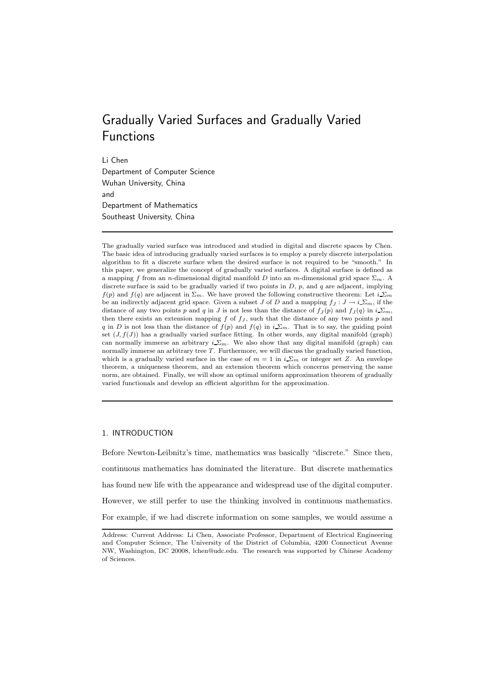# Gradually Varied Surfaces and Gradually Varied Functions

Li Chen

Department of Computer Science Wuhan University, China and Department of Mathematics Southeast University, China

The gradually varied surface was introduced and studied in digital and discrete spaces by Chen. The basic idea of introducing gradually varied surfaces is to employ a purely discrete interpolation algorithm to fit a discrete surface when the desired surface is not required to be "smooth." In this paper, we generalize the concept of gradually varied surfaces. A digital surface is defined as a mapping f from an n-dimensional digital manifold D into an m-dimensional grid space  $\Sigma_m$ . A discrete surface is said to be gradually varied if two points in  $D$ ,  $p$ , and  $q$  are adjacent, implying  $f(p)$  and  $f(q)$  are adjacent in  $\Sigma_m$ . We have proved the following constructive theorem: Let  $i\sum_m$ be an indirectly adjacent grid space. Given a subset J of D and a mapping  $f_J : J \to i\sum_m$ , if the distance of any two points p and q in J is not less than the distance of  $f_J(p)$  and  $f_J(q)$  in  $i\sum_m$ , then there exists an extension mapping  $f$  of  $f<sub>J</sub>$ , such that the distance of any two points  $p$  and q in D is not less than the distance of  $f(p)$  and  $f(q)$  in  $i \Sigma_m$ . That is to say, the guiding point set  $(J, f(J))$  has a gradually varied surface fitting. In other words, any digital manifold (graph) can normally immerse an arbitrary  $i \Sigma_m$ . We also show that any digital manifold (graph) can normally immerse an arbitrary tree T. Furthermore, we will discuss the gradually varied function, which is a gradually varied surface in the case of  $m = 1$  in  $i \Sigma_m$  or integer set Z. An envelope theorem, a uniqueness theorem, and an extension theorem which concerns preserving the same norm, are obtained. Finally, we will show an optimal uniform approximation theorem of gradually varied functionals and develop an efficient algorithm for the approximation.

# 1. INTRODUCTION

Before Newton-Leibnitz's time, mathematics was basically "discrete." Since then, continuous mathematics has dominated the literature. But discrete mathematics has found new life with the appearance and widespread use of the digital computer. However, we still perfer to use the thinking involved in continuous mathematics. For example, if we had discrete information on some samples, we would assume a

Address: Current Address: Li Chen, Associate Professor, Department of Electrical Engineering and Computer Science, The University of the District of Columbia, 4200 Connecticut Avenue NW, Washington, DC 20008, lchen@udc.edu. The research was supported by Chinese Academy of Sciences.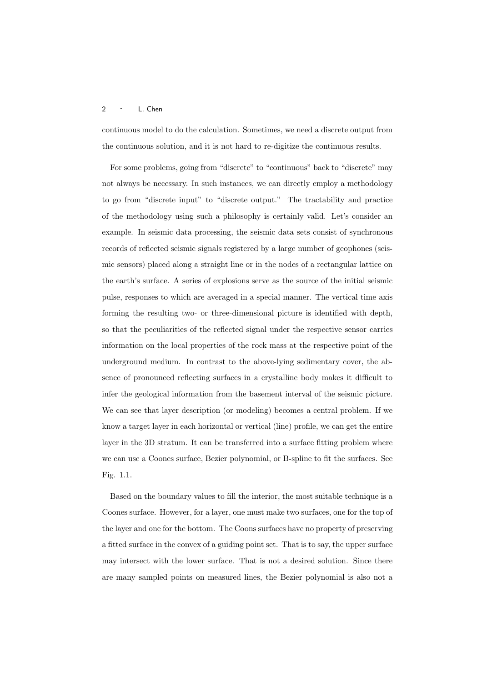continuous model to do the calculation. Sometimes, we need a discrete output from the continuous solution, and it is not hard to re-digitize the continuous results.

For some problems, going from "discrete" to "continuous" back to "discrete" may not always be necessary. In such instances, we can directly employ a methodology to go from "discrete input" to "discrete output." The tractability and practice of the methodology using such a philosophy is certainly valid. Let's consider an example. In seismic data processing, the seismic data sets consist of synchronous records of reflected seismic signals registered by a large number of geophones (seismic sensors) placed along a straight line or in the nodes of a rectangular lattice on the earth's surface. A series of explosions serve as the source of the initial seismic pulse, responses to which are averaged in a special manner. The vertical time axis forming the resulting two- or three-dimensional picture is identified with depth, so that the peculiarities of the reflected signal under the respective sensor carries information on the local properties of the rock mass at the respective point of the underground medium. In contrast to the above-lying sedimentary cover, the absence of pronounced reflecting surfaces in a crystalline body makes it difficult to infer the geological information from the basement interval of the seismic picture. We can see that layer description (or modeling) becomes a central problem. If we know a target layer in each horizontal or vertical (line) profile, we can get the entire layer in the 3D stratum. It can be transferred into a surface fitting problem where we can use a Coones surface, Bezier polynomial, or B-spline to fit the surfaces. See Fig. 1.1.

Based on the boundary values to fill the interior, the most suitable technique is a Coones surface. However, for a layer, one must make two surfaces, one for the top of the layer and one for the bottom. The Coons surfaces have no property of preserving a fitted surface in the convex of a guiding point set. That is to say, the upper surface may intersect with the lower surface. That is not a desired solution. Since there are many sampled points on measured lines, the Bezier polynomial is also not a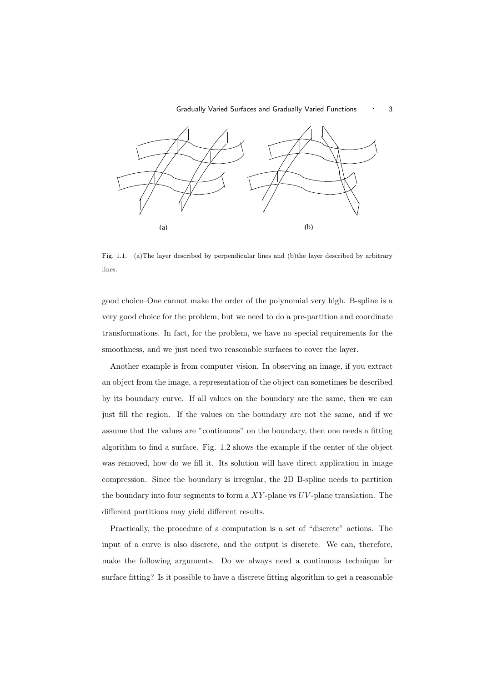

Fig. 1.1. (a)The layer described by perpendicular lines and (b)the layer described by arbitrary lines.

good choice–One cannot make the order of the polynomial very high. B-spline is a very good choice for the problem, but we need to do a pre-partition and coordinate transformations. In fact, for the problem, we have no special requirements for the smoothness, and we just need two reasonable surfaces to cover the layer.

Another example is from computer vision. In observing an image, if you extract an object from the image, a representation of the object can sometimes be described by its boundary curve. If all values on the boundary are the same, then we can just fill the region. If the values on the boundary are not the same, and if we assume that the values are "continuous" on the boundary, then one needs a fitting algorithm to find a surface. Fig. 1.2 shows the example if the center of the object was removed, how do we fill it. Its solution will have direct application in image compression. Since the boundary is irregular, the 2D B-spline needs to partition the boundary into four segments to form a  $XY$ -plane vs  $UV$ -plane translation. The different partitions may yield different results.

Practically, the procedure of a computation is a set of "discrete" actions. The input of a curve is also discrete, and the output is discrete. We can, therefore, make the following arguments. Do we always need a continuous technique for surface fitting? Is it possible to have a discrete fitting algorithm to get a reasonable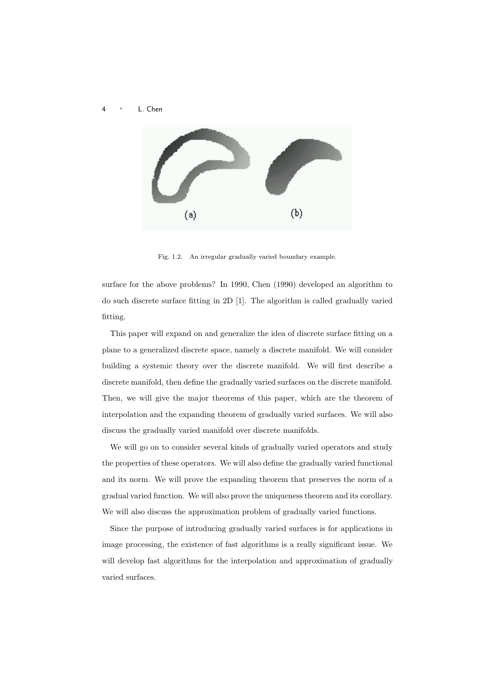

Fig. 1.2. An irregular gradually varied boundary example.

surface for the above problems? In 1990, Chen (1990) developed an algorithm to do such discrete surface fitting in 2D [1]. The algorithm is called gradually varied fitting.

This paper will expand on and generalize the idea of discrete surface fitting on a plane to a generalized discrete space, namely a discrete manifold. We will consider building a systemic theory over the discrete manifold. We will first describe a discrete manifold, then define the gradually varied surfaces on the discrete manifold. Then, we will give the major theorems of this paper, which are the theorem of interpolation and the expanding theorem of gradually varied surfaces. We will also discuss the gradually varied manifold over discrete manifolds.

We will go on to consider several kinds of gradually varied operators and study the properties of these operators. We will also define the gradually varied functional and its norm. We will prove the expanding theorem that preserves the norm of a gradual varied function. We will also prove the uniqueness theorem and its corollary. We will also discuss the approximation problem of gradually varied functions.

Since the purpose of introducing gradually varied surfaces is for applications in image processing, the existence of fast algorithms is a really significant issue. We will develop fast algorithms for the interpolation and approximation of gradually varied surfaces.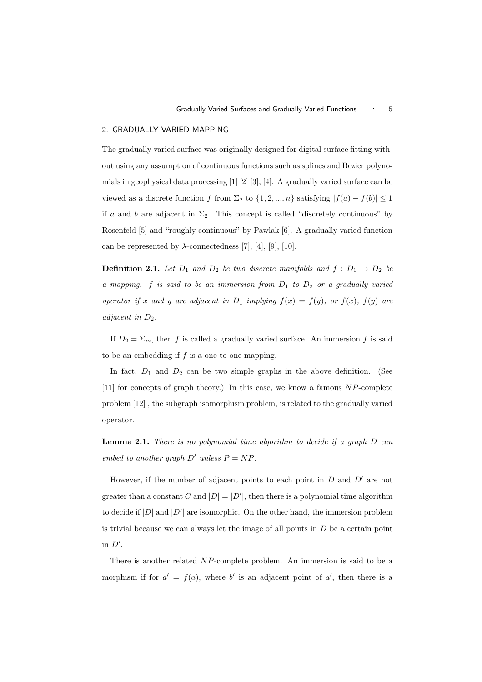# 2. GRADUALLY VARIED MAPPING

The gradually varied surface was originally designed for digital surface fitting without using any assumption of continuous functions such as splines and Bezier polynomials in geophysical data processing [1] [2] [3], [4]. A gradually varied surface can be viewed as a discrete function f from  $\Sigma_2$  to  $\{1, 2, ..., n\}$  satisfying  $|f(a) - f(b)| \leq 1$ if a and b are adjacent in  $\Sigma_2$ . This concept is called "discretely continuous" by Rosenfeld [5] and "roughly continuous" by Pawlak [6]. A gradually varied function can be represented by  $\lambda$ -connectedness [7], [4], [9], [10].

**Definition 2.1.** Let  $D_1$  and  $D_2$  be two discrete manifolds and  $f: D_1 \rightarrow D_2$  be a mapping.  $f$  is said to be an immersion from  $D_1$  to  $D_2$  or a gradually varied operator if x and y are adjacent in  $D_1$  implying  $f(x) = f(y)$ , or  $f(x)$ ,  $f(y)$  are adjacent in  $D_2$ .

If  $D_2 = \Sigma_m$ , then f is called a gradually varied surface. An immersion f is said to be an embedding if  $f$  is a one-to-one mapping.

In fact,  $D_1$  and  $D_2$  can be two simple graphs in the above definition. (See [11] for concepts of graph theory.) In this case, we know a famous  $NP$ -complete problem [12] , the subgraph isomorphism problem, is related to the gradually varied operator.

**Lemma 2.1.** There is no polynomial time algorithm to decide if a graph  $D$  can embed to another graph  $D'$  unless  $P = NP$ .

However, if the number of adjacent points to each point in  $D$  and  $D'$  are not greater than a constant C and  $|D| = |D'|$ , then there is a polynomial time algorithm to decide if  $|D|$  and  $|D'|$  are isomorphic. On the other hand, the immersion problem is trivial because we can always let the image of all points in  $D$  be a certain point in  $D'$ .

There is another related NP-complete problem. An immersion is said to be a morphism if for  $a' = f(a)$ , where b' is an adjacent point of a', then there is a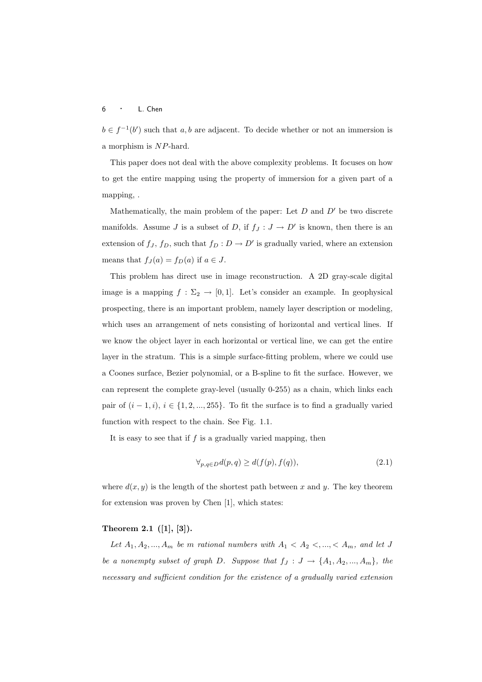$b \in f^{-1}(b')$  such that a, b are adjacent. To decide whether or not an immersion is a morphism is NP-hard.

This paper does not deal with the above complexity problems. It focuses on how to get the entire mapping using the property of immersion for a given part of a mapping, .

Mathematically, the main problem of the paper: Let  $D$  and  $D'$  be two discrete manifolds. Assume J is a subset of D, if  $f_J: J \to D'$  is known, then there is an extension of  $f_J$ ,  $f_D$ , such that  $f_D: D \to D'$  is gradually varied, where an extension means that  $f_J(a) = f_D(a)$  if  $a \in J$ .

This problem has direct use in image reconstruction. A 2D gray-scale digital image is a mapping  $f : \Sigma_2 \to [0,1]$ . Let's consider an example. In geophysical prospecting, there is an important problem, namely layer description or modeling, which uses an arrangement of nets consisting of horizontal and vertical lines. If we know the object layer in each horizontal or vertical line, we can get the entire layer in the stratum. This is a simple surface-fitting problem, where we could use a Coones surface, Bezier polynomial, or a B-spline to fit the surface. However, we can represent the complete gray-level (usually 0-255) as a chain, which links each pair of  $(i-1, i)$ ,  $i \in \{1, 2, ..., 255\}$ . To fit the surface is to find a gradually varied function with respect to the chain. See Fig. 1.1.

It is easy to see that if  $f$  is a gradually varied mapping, then

$$
\forall_{p,q \in D} d(p,q) \ge d(f(p), f(q)),\tag{2.1}
$$

where  $d(x, y)$  is the length of the shortest path between x and y. The key theorem for extension was proven by Chen [1], which states:

# Theorem 2.1 ([1], [3]).

Let  $A_1, A_2, ..., A_m$  be m rational numbers with  $A_1 < A_2 < ..., < A_m$ , and let J be a nonempty subset of graph D. Suppose that  $f_J: J \to \{A_1, A_2, ..., A_m\}$ , the necessary and sufficient condition for the existence of a gradually varied extension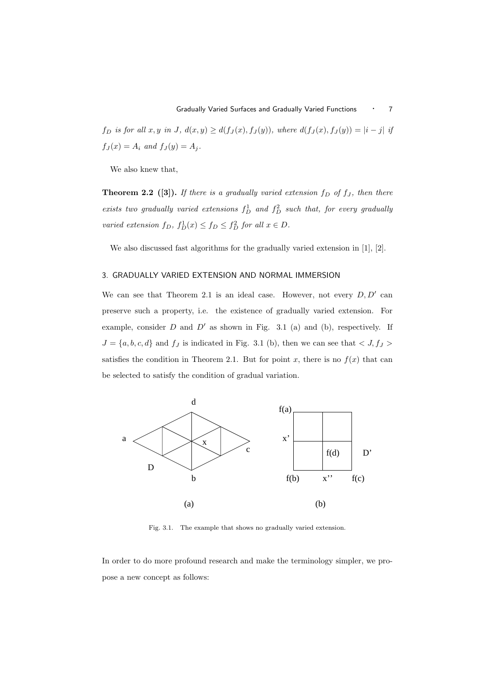f<sub>D</sub> is for all x, y in J,  $d(x, y) \geq d(f_J(x), f_J(y))$ , where  $d(f_J(x), f_J(y)) = |i - j|$  if  $f_J(x) = A_i$  and  $f_J(y) = A_j$ .

We also knew that,

**Theorem 2.2** ([3]). If there is a gradually varied extension  $f_D$  of  $f_J$ , then there exists two gradually varied extensions  $f_D^1$  and  $f_D^2$  such that, for every gradually varied extension  $f_D$ ,  $f_D^1(x) \le f_D \le f_D^2$  for all  $x \in D$ .

We also discussed fast algorithms for the gradually varied extension in [1], [2].

# 3. GRADUALLY VARIED EXTENSION AND NORMAL IMMERSION

We can see that Theorem 2.1 is an ideal case. However, not every  $D, D'$  can preserve such a property, i.e. the existence of gradually varied extension. For example, consider  $D$  and  $D'$  as shown in Fig. 3.1 (a) and (b), respectively. If  $J = \{a, b, c, d\}$  and  $f_J$  is indicated in Fig. 3.1 (b), then we can see that  $\langle J, f_J \rangle$ satisfies the condition in Theorem 2.1. But for point x, there is no  $f(x)$  that can be selected to satisfy the condition of gradual variation.



Fig. 3.1. The example that shows no gradually varied extension.

In order to do more profound research and make the terminology simpler, we propose a new concept as follows: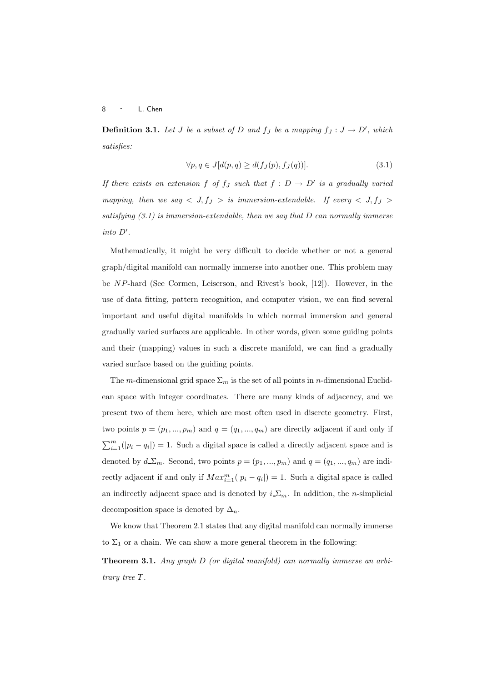**Definition 3.1.** Let J be a subset of D and  $f_J$  be a mapping  $f_J: J \to D'$ , which satisfies:

$$
\forall p, q \in J[d(p, q) \ge d(f_J(p), f_J(q))]. \tag{3.1}
$$

If there exists an extension f of  $f_J$  such that  $f: D \to D'$  is a gradually varied mapping, then we say  $\langle J, f_J \rangle$  is immersion-extendable. If every  $\langle J, f_J \rangle$ satisfying  $(3.1)$  is immersion-extendable, then we say that D can normally immerse into D′ .

Mathematically, it might be very difficult to decide whether or not a general graph/digital manifold can normally immerse into another one. This problem may be NP-hard (See Cormen, Leiserson, and Rivest's book, [12]). However, in the use of data fitting, pattern recognition, and computer vision, we can find several important and useful digital manifolds in which normal immersion and general gradually varied surfaces are applicable. In other words, given some guiding points and their (mapping) values in such a discrete manifold, we can find a gradually varied surface based on the guiding points.

The m-dimensional grid space  $\Sigma_m$  is the set of all points in n-dimensional Euclidean space with integer coordinates. There are many kinds of adjacency, and we present two of them here, which are most often used in discrete geometry. First, two points  $p = (p_1, ..., p_m)$  and  $q = (q_1, ..., q_m)$  are directly adjacent if and only if  $\sum_{i=1}^{m}(|p_i - q_i|) = 1$ . Such a digital space is called a directly adjacent space and is denoted by  $d_{\mathcal{L}}\Sigma_m$ . Second, two points  $p = (p_1, ..., p_m)$  and  $q = (q_1, ..., q_m)$  are indirectly adjacent if and only if  $Max_{i=1}^{m}(|p_i - q_i|) = 1$ . Such a digital space is called an indirectly adjacent space and is denoted by  $i \sum_m$ . In addition, the *n*-simplicial decomposition space is denoted by  $\Delta_n$ .

We know that Theorem 2.1 states that any digital manifold can normally immerse to  $\Sigma_1$  or a chain. We can show a more general theorem in the following:

Theorem 3.1. Any graph D (or digital manifold) can normally immerse an arbitrary tree T .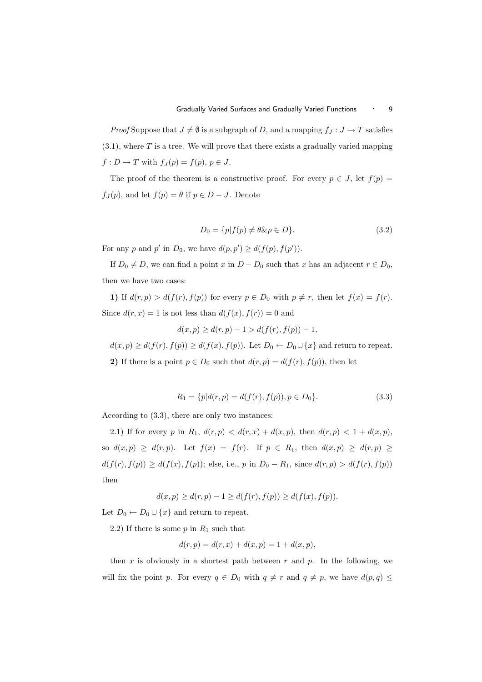*Proof* Suppose that  $J \neq \emptyset$  is a subgraph of D, and a mapping  $f_J : J \to T$  satisfies  $(3.1)$ , where T is a tree. We will prove that there exists a gradually varied mapping  $f: D \to T$  with  $f_J(p) = f(p), p \in J$ .

The proof of the theorem is a constructive proof. For every  $p \in J$ , let  $f(p) =$  $f_J(p)$ , and let  $f(p) = \theta$  if  $p \in D - J$ . Denote

$$
D_0 = \{p | f(p) \neq \theta \& p \in D\}.
$$
\n
$$
(3.2)
$$

For any p and p' in  $D_0$ , we have  $d(p, p') \geq d(f(p), f(p'))$ .

If  $D_0 \neq D$ , we can find a point x in  $D - D_0$  such that x has an adjacent  $r \in D_0$ , then we have two cases:

1) If  $d(r, p) > d(f(r), f(p))$  for every  $p \in D_0$  with  $p \neq r$ , then let  $f(x) = f(r)$ . Since  $d(r, x) = 1$  is not less than  $d(f(x), f(r)) = 0$  and

$$
d(x, p) \ge d(r, p) - 1 > d(f(r), f(p)) - 1,
$$

 $d(x, p) \geq d(f(r), f(p)) \geq d(f(x), f(p)).$  Let  $D_0 \leftarrow D_0 \cup \{x\}$  and return to repeat. 2) If there is a point  $p \in D_0$  such that  $d(r, p) = d(f(r), f(p))$ , then let

$$
R_1 = \{ p | d(r, p) = d(f(r), f(p)), p \in D_0 \}.
$$
\n(3.3)

According to (3.3), there are only two instances:

2.1) If for every p in  $R_1$ ,  $d(r, p) < d(r, x) + d(x, p)$ , then  $d(r, p) < 1 + d(x, p)$ , so  $d(x,p) \geq d(r,p)$ . Let  $f(x) = f(r)$ . If  $p \in R_1$ , then  $d(x,p) \geq d(r,p) \geq$  $d(f(r), f(p)) \geq d(f(x), f(p))$ ; else, i.e., p in  $D_0 - R_1$ , since  $d(r, p) > d(f(r), f(p))$ then

$$
d(x, p) \ge d(r, p) - 1 \ge d(f(r), f(p)) \ge d(f(x), f(p)).
$$

Let  $D_0 \leftarrow D_0 \cup \{x\}$  and return to repeat.

2.2) If there is some  $p$  in  $R_1$  such that

$$
d(r, p) = d(r, x) + d(x, p) = 1 + d(x, p),
$$

then  $x$  is obviously in a shortest path between  $r$  and  $p$ . In the following, we will fix the point p. For every  $q \in D_0$  with  $q \neq r$  and  $q \neq p$ , we have  $d(p,q) \leq$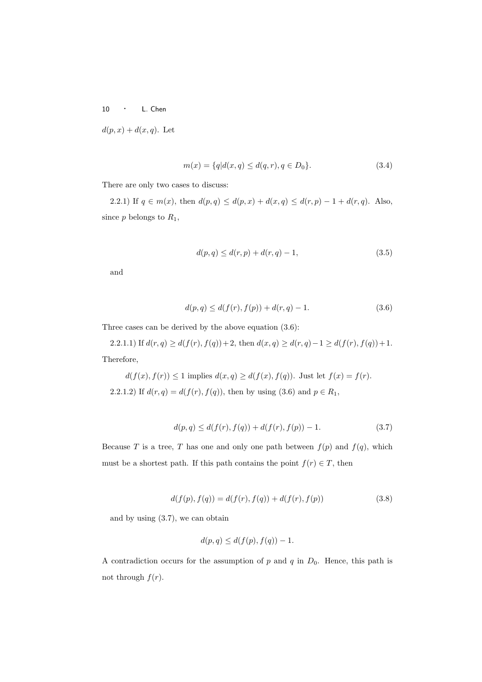$d(p, x) + d(x, q)$ . Let

$$
m(x) = \{q | d(x, q) \le d(q, r), q \in D_0\}.
$$
\n(3.4)

There are only two cases to discuss:

2.2.1) If  $q \in m(x)$ , then  $d(p,q) \leq d(p,x) + d(x,q) \leq d(r,p) - 1 + d(r,q)$ . Also, since  $p$  belongs to  $R_1$ ,

$$
d(p,q) \le d(r,p) + d(r,q) - 1,\t\t(3.5)
$$

and

$$
d(p,q) \le d(f(r), f(p)) + d(r,q) - 1.
$$
\n(3.6)

Three cases can be derived by the above equation (3.6):

2.2.1.1) If  $d(r, q) \ge d(f(r), f(q)) + 2$ , then  $d(x, q) \ge d(r, q) - 1 \ge d(f(r), f(q)) + 1$ . Therefore,

$$
d(f(x), f(r)) \le 1
$$
 implies 
$$
d(x, q) \ge d(f(x), f(q))
$$
. Just let  $f(x) = f(r)$ .  
2.2.1.2) If  $d(r, q) = d(f(r), f(q))$ , then by using (3.6) and  $p \in R_1$ ,

$$
d(p,q) \le d(f(r), f(q)) + d(f(r), f(p)) - 1.
$$
\n(3.7)

Because T is a tree, T has one and only one path between  $f(p)$  and  $f(q)$ , which must be a shortest path. If this path contains the point  $f(r) \in T$ , then

$$
d(f(p), f(q)) = d(f(r), f(q)) + d(f(r), f(p))
$$
\n(3.8)

and by using (3.7), we can obtain

$$
d(p,q) \le d(f(p), f(q)) - 1.
$$

A contradiction occurs for the assumption of  $p$  and  $q$  in  $D_0$ . Hence, this path is not through  $f(r)$ .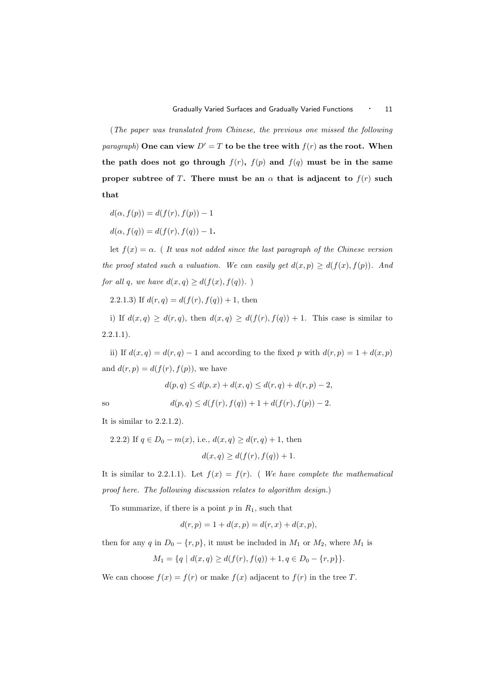(The paper was translated from Chinese, the previous one missed the following *paragraph*) One can view  $D' = T$  to be the tree with  $f(r)$  as the root. When the path does not go through  $f(r)$ ,  $f(p)$  and  $f(q)$  must be in the same proper subtree of T. There must be an  $\alpha$  that is adjacent to  $f(r)$  such that

$$
d(\alpha, f(p)) = d(f(r), f(p)) - 1
$$
  

$$
d(\alpha, f(q)) = d(f(r), f(q)) - 1.
$$

let  $f(x) = \alpha$ . (It was not added since the last paragraph of the Chinese version the proof stated such a valuation. We can easily get  $d(x, p) \geq d(f(x), f(p))$ . And for all q, we have  $d(x,q) \geq d(f(x), f(q))$ .

2.2.1.3) If  $d(r, q) = d(f(r), f(q)) + 1$ , then

i) If  $d(x,q) \geq d(r,q)$ , then  $d(x,q) \geq d(f(r), f(q)) + 1$ . This case is similar to  $2.2.1.1$ ).

ii) If  $d(x,q) = d(r,q) - 1$  and according to the fixed p with  $d(r,p) = 1 + d(x,p)$ and  $d(r, p) = d(f(r), f(p))$ , we have

$$
d(p, q) \le d(p, x) + d(x, q) \le d(r, q) + d(r, p) - 2,
$$

so 
$$
d(p,q) \leq d(f(r), f(q)) + 1 + d(f(r), f(p)) - 2.
$$

It is similar to 2.2.1.2).

2.2.2) If 
$$
q \in D_0 - m(x)
$$
, i.e.,  $d(x, q) \ge d(r, q) + 1$ , then  

$$
d(x, q) \ge d(f(r), f(q)) + 1.
$$

It is similar to 2.2.1.1). Let  $f(x) = f(r)$ . (We have complete the mathematical proof here. The following discussion relates to algorithm design.)

To summarize, if there is a point  $p$  in  $R_1$ , such that

$$
d(r, p) = 1 + d(x, p) = d(r, x) + d(x, p),
$$

then for any q in  $D_0 - \{r, p\}$ , it must be included in  $M_1$  or  $M_2$ , where  $M_1$  is

$$
M_1 = \{ q \mid d(x, q) \ge d(f(r), f(q)) + 1, q \in D_0 - \{r, p\} \}.
$$

We can choose  $f(x) = f(r)$  or make  $f(x)$  adjacent to  $f(r)$  in the tree T.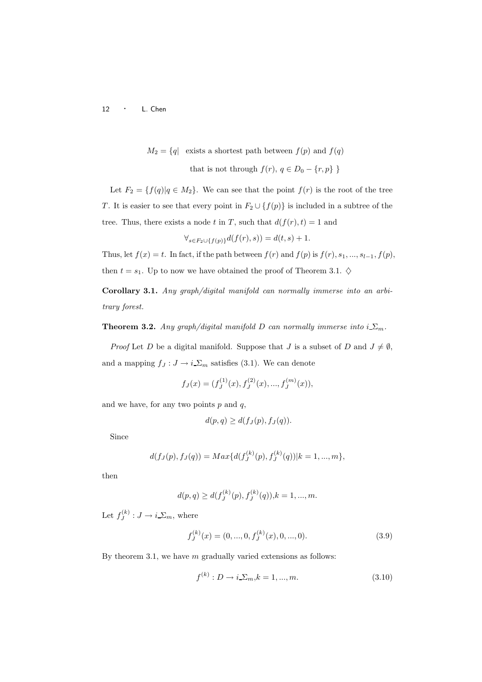$M_2 = \{q \mid \text{ exists a shortest path between } f(p) \text{ and } f(q) \}$ 

that is not through  $f(r)$ ,  $q \in D_0 - \{r, p\}$ 

Let  $F_2 = \{f(q) | q \in M_2\}$ . We can see that the point  $f(r)$  is the root of the tree T. It is easier to see that every point in  $F_2 \cup \{f(p)\}\$ is included in a subtree of the tree. Thus, there exists a node t in T, such that  $d(f(r), t) = 1$  and

$$
\forall_{s \in F_2 \cup \{f(p)\}} d(f(r), s)) = d(t, s) + 1.
$$

Thus, let  $f(x) = t$ . In fact, if the path between  $f(r)$  and  $f(p)$  is  $f(r)$ ,  $s_1$ , ...,  $s_{l-1}$ ,  $f(p)$ , then  $t = s_1$ . Up to now we have obtained the proof of Theorem 3.1.  $\diamond$ 

Corollary 3.1. Any graph/digital manifold can normally immerse into an arbitrary forest.

**Theorem 3.2.** Any graph/digital manifold D can normally immerse into  $i \Sigma_m$ .

*Proof* Let D be a digital manifold. Suppose that J is a subset of D and  $J \neq \emptyset$ , and a mapping  $f_J: J \to i\,\Sigma_m$  satisfies (3.1). We can denote

$$
f_J(x) = (f_J^{(1)}(x), f_J^{(2)}(x), ..., f_J^{(m)}(x)),
$$

and we have, for any two points  $p$  and  $q$ ,

$$
d(p,q) \geq d(f_J(p), f_J(q)).
$$

Since

$$
d(f_J(p), f_J(q)) = Max\{d(f_J^{(k)}(p), f_J^{(k)}(q))|k = 1, ..., m\},\,
$$

then

$$
d(p,q) \ge d(f_J^{(k)}(p), f_J^{(k)}(q)), k = 1, ..., m.
$$

Let  $f_J^{(k)}: J \to i \sum_m$ , where

$$
f_J^{(k)}(x) = (0, ..., 0, f_J^{(k)}(x), 0, ..., 0).
$$
\n(3.9)

By theorem 3.1, we have  $m$  gradually varied extensions as follows:

$$
f^{(k)}: D \to i\,\Sigma_m, k = 1, ..., m. \tag{3.10}
$$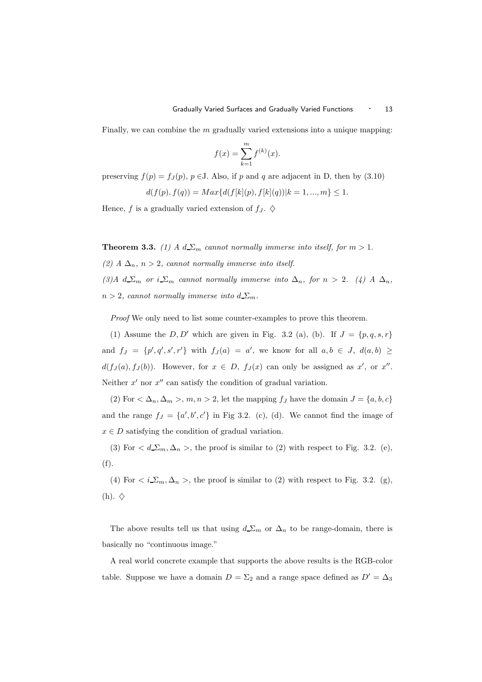Finally, we can combine the  $m$  gradually varied extensions into a unique mapping:

$$
f(x) = \sum_{k=1}^{m} f^{(k)}(x).
$$

preserving  $f(p) = f<sub>J</sub>(p)$ ,  $p \in J$ . Also, if p and q are adjacent in D, then by (3.10)

$$
d(f(p), f(q)) = Max{d(f[k](p), f[k](q))|k = 1, ..., m} \le 1.
$$

Hence, f is a gradually varied extension of  $f_J$ .  $\diamondsuit$ 

**Theorem 3.3.** (1) A  $d\sum_{m}$  cannot normally immerse into itself, for  $m > 1$ .

(2) A  $\Delta_n$ , n > 2, cannot normally immerse into itself.

(3)A  $d \Sigma_m$  or  $i \Sigma_m$  cannot normally immerse into  $\Delta_n$ , for  $n > 2$ . (4) A  $\Delta_n$ ,  $n > 2$ , cannot normally immerse into  $d_{\mathcal{L}_m}$ .

Proof We only need to list some counter-examples to prove this theorem.

(1) Assume the  $D, D'$  which are given in Fig. 3.2 (a), (b). If  $J = \{p, q, s, r\}$ and  $f_J = \{p', q', s', r'\}$  with  $f_J(a) = a'$ , we know for all  $a, b \in J$ ,  $d(a, b) \ge$  $d(f_J(a), f_J(b))$ . However, for  $x \in D$ ,  $f_J(x)$  can only be assigned as x', or x''. Neither  $x'$  nor  $x''$  can satisfy the condition of gradual variation.

(2) For  $\langle \Delta_n, \Delta_m \rangle$ ,  $m, n > 2$ , let the mapping  $f_J$  have the domain  $J = \{a, b, c\}$ and the range  $f_J = \{a', b', c'\}$  in Fig 3.2. (c), (d). We cannot find the image of  $x \in D$  satisfying the condition of gradual variation.

(3) For  $\langle d \Sigma_m, \Delta_n \rangle$ , the proof is similar to (2) with respect to Fig. 3.2. (e), (f).

(4) For  $\langle i_{\Sigma} \Sigma_m, \Delta_n \rangle$ , the proof is similar to (2) with respect to Fig. 3.2. (g),  $(h). \diamondsuit$ 

The above results tell us that using  $d\sum_m$  or  $\Delta_n$  to be range-domain, there is basically no "continuous image."

A real world concrete example that supports the above results is the RGB-color table. Suppose we have a domain  $D = \Sigma_2$  and a range space defined as  $D' = \Delta_3$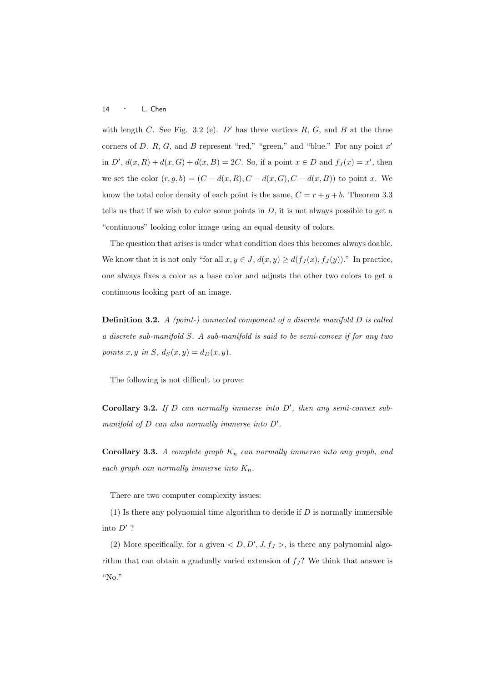with length C. See Fig. 3.2 (e).  $D'$  has three vertices R, G, and B at the three corners of D. R, G, and B represent "red," "green," and "blue." For any point  $x'$ in D',  $d(x,R) + d(x,G) + d(x,B) = 2C$ . So, if a point  $x \in D$  and  $f_J(x) = x'$ , then we set the color  $(r, g, b) = (C - d(x, R), C - d(x, G), C - d(x, B))$  to point x. We know the total color density of each point is the same,  $C = r + g + b$ . Theorem 3.3 tells us that if we wish to color some points in  $D$ , it is not always possible to get a "continuous" looking color image using an equal density of colors.

The question that arises is under what condition does this becomes always doable. We know that it is not only "for all  $x, y \in J$ ,  $d(x, y) \geq d(f_J(x), f_J(y))$ ." In practice, one always fixes a color as a base color and adjusts the other two colors to get a continuous looking part of an image.

**Definition 3.2.** A (point-) connected component of a discrete manifold  $D$  is called a discrete sub-manifold S. A sub-manifold is said to be semi-convex if for any two points x, y in S,  $d_S(x, y) = d_D(x, y)$ .

The following is not difficult to prove:

Corollary 3.2. If  $D$  can normally immerse into  $D'$ , then any semi-convex submanifold of  $D$  can also normally immerse into  $D'$ .

Corollary 3.3. A complete graph  $K_n$  can normally immerse into any graph, and each graph can normally immerse into  $K_n$ .

There are two computer complexity issues:

(1) Is there any polynomial time algorithm to decide if  $D$  is normally immersible into  $D'$  ?

(2) More specifically, for a given  $\langle D, D', J, f_J \rangle$ , is there any polynomial algorithm that can obtain a gradually varied extension of  $f_j$ ? We think that answer is "No."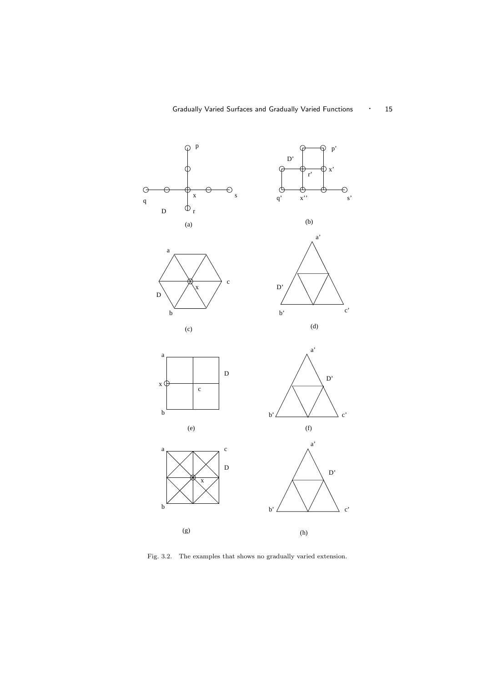

Fig. 3.2. The examples that shows no gradually varied extension.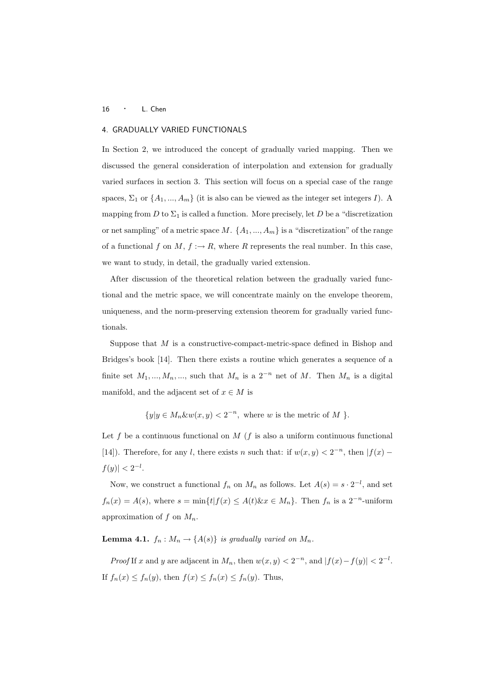# 4. GRADUALLY VARIED FUNCTIONALS

In Section 2, we introduced the concept of gradually varied mapping. Then we discussed the general consideration of interpolation and extension for gradually varied surfaces in section 3. This section will focus on a special case of the range spaces,  $\Sigma_1$  or  $\{A_1, ..., A_m\}$  (it is also can be viewed as the integer set integers I). A mapping from  $D$  to  $\Sigma_1$  is called a function. More precisely, let  $D$  be a "discretization or net sampling" of a metric space  $M$ .  $\{A_1, ..., A_m\}$  is a "discretization" of the range of a functional f on  $M, f : \rightarrow R$ , where R represents the real number. In this case, we want to study, in detail, the gradually varied extension.

After discussion of the theoretical relation between the gradually varied functional and the metric space, we will concentrate mainly on the envelope theorem, uniqueness, and the norm-preserving extension theorem for gradually varied functionals.

Suppose that M is a constructive-compact-metric-space defined in Bishop and Bridges's book [14]. Then there exists a routine which generates a sequence of a finite set  $M_1, ..., M_n, ...,$  such that  $M_n$  is a  $2^{-n}$  net of M. Then  $M_n$  is a digital manifold, and the adjacent set of  $x \in M$  is

 $\{y|y \in M_n \& w(x,y) < 2^{-n}, \text{ where } w \text{ is the metric of } M \}.$ 

Let f be a continuous functional on  $M$  (f is also a uniform continuous functional [14]). Therefore, for any l, there exists n such that: if  $w(x, y) < 2^{-n}$ , then  $|f(x) |f(y)| < 2^{-l}$ .

Now, we construct a functional  $f_n$  on  $M_n$  as follows. Let  $A(s) = s \cdot 2^{-l}$ , and set  $f_n(x) = A(s)$ , where  $s = \min\{t | f(x) \leq A(t) \& x \in M_n\}$ . Then  $f_n$  is a  $2^{-n}$ -uniform approximation of f on  $M_n$ .

**Lemma 4.1.**  $f_n : M_n \to \{A(s)\}\$ is gradually varied on  $M_n$ .

*Proof* If x and y are adjacent in  $M_n$ , then  $w(x, y) < 2^{-n}$ , and  $|f(x) - f(y)| < 2^{-l}$ . If  $f_n(x) \le f_n(y)$ , then  $f(x) \le f_n(x) \le f_n(y)$ . Thus,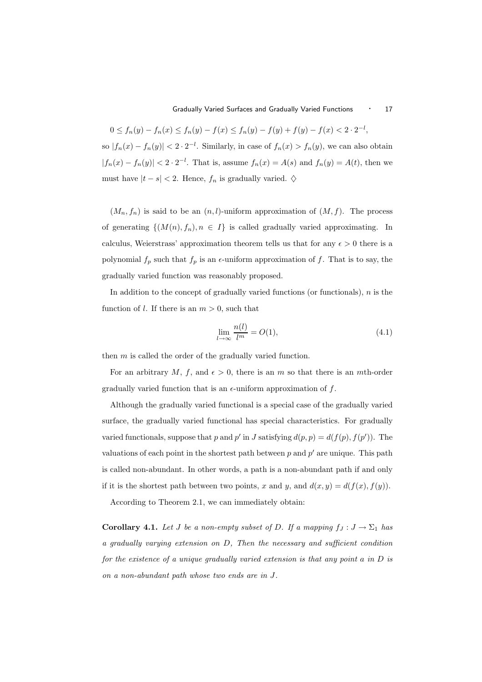$0 \le f_n(y) - f_n(x) \le f_n(y) - f(x) \le f_n(y) - f(y) + f(y) - f(x) < 2 \cdot 2^{-l},$ so  $|f_n(x) - f_n(y)| < 2 \cdot 2^{-l}$ . Similarly, in case of  $f_n(x) > f_n(y)$ , we can also obtain  $|f_n(x) - f_n(y)| < 2 \cdot 2^{-l}$ . That is, assume  $f_n(x) = A(s)$  and  $f_n(y) = A(t)$ , then we must have  $|t - s| < 2$ . Hence,  $f_n$  is gradually varied.  $\diamond$ 

 $(M_n, f_n)$  is said to be an  $(n, l)$ -uniform approximation of  $(M, f)$ . The process of generating  $\{(M(n), f_n), n \in I\}$  is called gradually varied approximating. In calculus, Weierstrass' approximation theorem tells us that for any  $\epsilon > 0$  there is a polynomial  $f_p$  such that  $f_p$  is an  $\epsilon$ -uniform approximation of  $f$ . That is to say, the gradually varied function was reasonably proposed.

In addition to the concept of gradually varied functions (or functionals),  $n$  is the function of l. If there is an  $m > 0$ , such that

$$
\lim_{l \to \infty} \frac{n(l)}{l^m} = O(1),\tag{4.1}
$$

then  $m$  is called the order of the gradually varied function.

For an arbitrary M, f, and  $\epsilon > 0$ , there is an m so that there is an mth-order gradually varied function that is an  $\epsilon$ -uniform approximation of f.

Although the gradually varied functional is a special case of the gradually varied surface, the gradually varied functional has special characteristics. For gradually varied functionals, suppose that p and p' in J satisfying  $d(p, p) = d(f(p), f(p'))$ . The valuations of each point in the shortest path between  $p$  and  $p'$  are unique. This path is called non-abundant. In other words, a path is a non-abundant path if and only if it is the shortest path between two points, x and y, and  $d(x, y) = d(f(x), f(y)).$ 

According to Theorem 2.1, we can immediately obtain:

**Corollary 4.1.** Let J be a non-empty subset of D. If a mapping  $f_J : J \to \Sigma_1$  has a gradually varying extension on D, Then the necessary and sufficient condition for the existence of a unique gradually varied extension is that any point a in  $D$  is on a non-abundant path whose two ends are in J.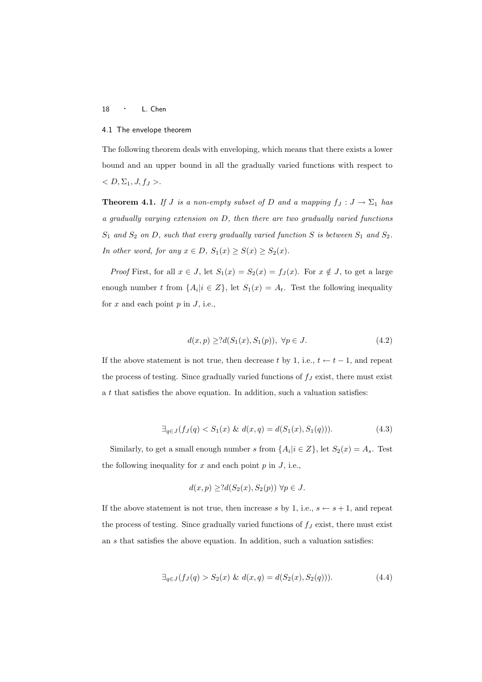#### 4.1 The envelope theorem

The following theorem deals with enveloping, which means that there exists a lower bound and an upper bound in all the gradually varied functions with respect to  $< D, \Sigma_1, J, f_J >.$ 

**Theorem 4.1.** If J is a non-empty subset of D and a mapping  $f_J : J \to \Sigma_1$  has a gradually varying extension on D, then there are two gradually varied functions  $S_1$  and  $S_2$  on D, such that every gradually varied function S is between  $S_1$  and  $S_2$ . In other word, for any  $x \in D$ ,  $S_1(x) \geq S(x) \geq S_2(x)$ .

*Proof* First, for all  $x \in J$ , let  $S_1(x) = S_2(x) = f_J(x)$ . For  $x \notin J$ , to get a large enough number t from  $\{A_i | i \in \mathbb{Z}\}$ , let  $S_1(x) = A_t$ . Test the following inequality for  $x$  and each point  $p$  in  $J$ , i.e.,

$$
d(x, p) \ge 2d(S_1(x), S_1(p)), \ \forall p \in J. \tag{4.2}
$$

If the above statement is not true, then decrease t by 1, i.e.,  $t \leftarrow t-1$ , and repeat the process of testing. Since gradually varied functions of  $f_J$  exist, there must exist a t that satisfies the above equation. In addition, such a valuation satisfies:

$$
\exists_{q \in J} (f_J(q) < S_1(x) \& d(x, q) = d(S_1(x), S_1(q))). \tag{4.3}
$$

Similarly, to get a small enough number s from  $\{A_i | i \in \mathbb{Z}\}$ , let  $S_2(x) = A_s$ . Test the following inequality for  $x$  and each point  $p$  in  $J$ , i.e.,

$$
d(x, p) \geq ?d(S_2(x), S_2(p)) \ \forall p \in J.
$$

If the above statement is not true, then increase s by 1, i.e.,  $s \leftarrow s + 1$ , and repeat the process of testing. Since gradually varied functions of  $f_J$  exist, there must exist an s that satisfies the above equation. In addition, such a valuation satisfies:

$$
\exists_{q \in J} (f_J(q) > S_2(x) \& d(x, q) = d(S_2(x), S_2(q))). \tag{4.4}
$$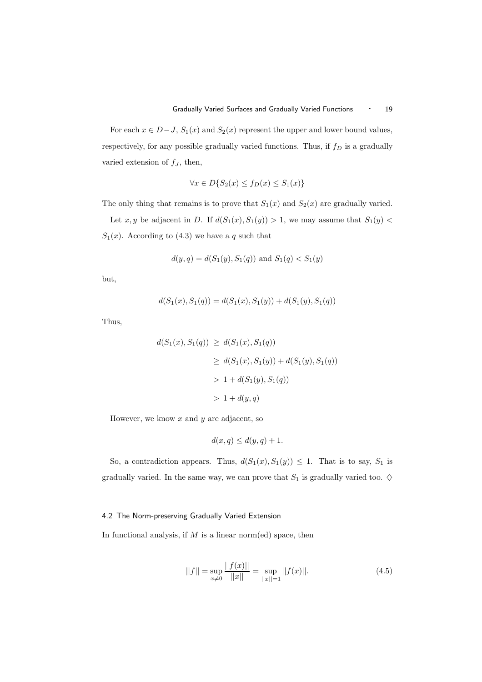For each  $x \in D-J$ ,  $S_1(x)$  and  $S_2(x)$  represent the upper and lower bound values, respectively, for any possible gradually varied functions. Thus, if  $f_D$  is a gradually varied extension of  $f_J$ , then,

$$
\forall x \in D \{ S_2(x) \le f_D(x) \le S_1(x) \}
$$

The only thing that remains is to prove that  $S_1(x)$  and  $S_2(x)$  are gradually varied.

Let  $x, y$  be adjacent in D. If  $d(S_1(x), S_1(y)) > 1$ , we may assume that  $S_1(y) <$  $S_1(x)$ . According to (4.3) we have a q such that

$$
d(y, q) = d(S_1(y), S_1(q))
$$
 and  $S_1(q) < S_1(y)$ 

but,

$$
d(S_1(x), S_1(q)) = d(S_1(x), S_1(y)) + d(S_1(y), S_1(q))
$$

Thus,

$$
d(S_1(x), S_1(q)) \ge d(S_1(x), S_1(q))
$$
  
\n
$$
\ge d(S_1(x), S_1(y)) + d(S_1(y), S_1(q))
$$
  
\n
$$
> 1 + d(S_1(y), S_1(q))
$$
  
\n
$$
> 1 + d(y, q)
$$

However, we know  $x$  and  $y$  are adjacent, so

$$
d(x, q) \le d(y, q) + 1.
$$

So, a contradiction appears. Thus,  $d(S_1(x), S_1(y)) \leq 1$ . That is to say,  $S_1$  is gradually varied. In the same way, we can prove that  $S_1$  is gradually varied too.  $\diamondsuit$ 

## 4.2 The Norm-preserving Gradually Varied Extension

In functional analysis, if  $M$  is a linear norm(ed) space, then

$$
||f|| = \sup_{x \neq 0} \frac{||f(x)||}{||x||} = \sup_{||x||=1} ||f(x)||. \tag{4.5}
$$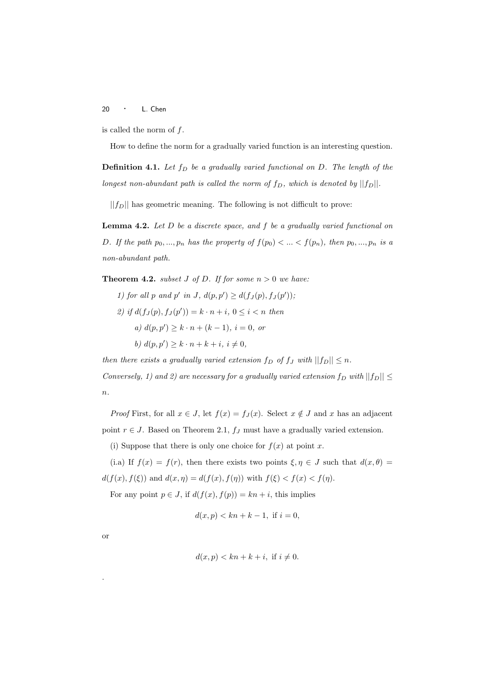is called the norm of f.

How to define the norm for a gradually varied function is an interesting question.

**Definition 4.1.** Let  $f_D$  be a gradually varied functional on D. The length of the longest non-abundant path is called the norm of  $f_D$ , which is denoted by  $||f_D||$ .

 $||f_D||$  has geometric meaning. The following is not difficult to prove:

**Lemma 4.2.** Let  $D$  be a discrete space, and  $f$  be a gradually varied functional on D. If the path  $p_0, ..., p_n$  has the property of  $f(p_0) < ... < f(p_n)$ , then  $p_0, ..., p_n$  is a non-abundant path.

**Theorem 4.2.** subset J of D. If for some  $n > 0$  we have:

1) for all p and p' in J,  $d(p, p') \geq d(f_J(p), f_J(p'))$ ; 2) if  $d(f_J(p), f_J(p')) = k \cdot n + i, 0 \le i < n$  then a)  $d(p, p') \geq k \cdot n + (k - 1), i = 0, or$ b)  $d(p, p') \geq k \cdot n + k + i, i \neq 0,$ 

then there exists a gradually varied extension  $f_D$  of  $f_J$  with  $||f_D|| \leq n$ . Conversely, 1) and 2) are necessary for a gradually varied extension  $f_D$  with  $||f_D|| \leq$  $\overline{n}$ .

*Proof* First, for all  $x \in J$ , let  $f(x) = f_J(x)$ . Select  $x \notin J$  and x has an adjacent point  $r \in J$ . Based on Theorem 2.1,  $f_J$  must have a gradually varied extension.

(i) Suppose that there is only one choice for  $f(x)$  at point x.

(i.a) If  $f(x) = f(r)$ , then there exists two points  $\xi, \eta \in J$  such that  $d(x, \theta) =$  $d(f(x), f(\xi))$  and  $d(x, \eta) = d(f(x), f(\eta))$  with  $f(\xi) < f(x) < f(\eta)$ .

For any point  $p \in J$ , if  $d(f(x), f(p)) = kn + i$ , this implies

$$
d(x, p) < kn + k - 1, \text{ if } i = 0,
$$

or

$$
d(x,p) < kn + k + i, \text{ if } i \neq 0.
$$

.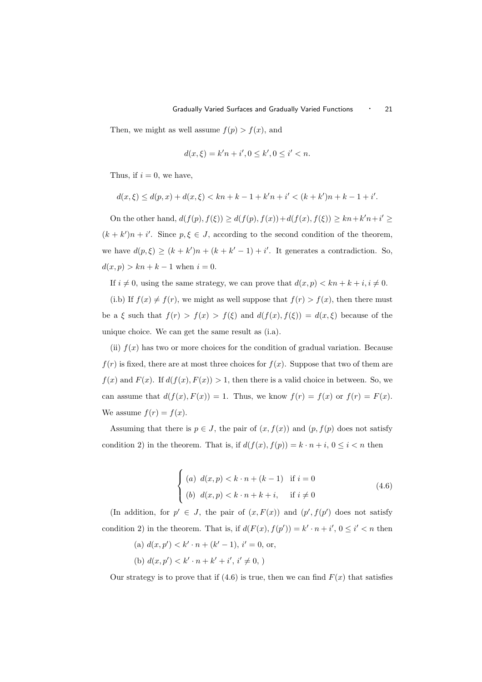Then, we might as well assume  $f(p) > f(x)$ , and

$$
d(x,\xi) = k'n + i', 0 \le k', 0 \le i' < n.
$$

Thus, if  $i = 0$ , we have,

$$
d(x,\xi) \leq d(p,x) + d(x,\xi) < kn + k - 1 + k'n + i' < (k + k')n + k - 1 + i'.
$$

On the other hand,  $d(f(p), f(\xi)) \geq d(f(p), f(x)) + d(f(x), f(\xi)) \geq kn + k'n + i' \geq$  $(k + k')n + i'$ . Since  $p, \xi \in J$ , according to the second condition of the theorem, we have  $d(p,\xi) \ge (k+k')n + (k+k'-1) + i'$ . It generates a contradiction. So,  $d(x, p) > kn + k - 1$  when  $i = 0$ .

If  $i \neq 0$ , using the same strategy, we can prove that  $d(x, p) < kn + k + i, i \neq 0$ .

(i.b) If  $f(x) \neq f(r)$ , we might as well suppose that  $f(r) > f(x)$ , then there must be a  $\xi$  such that  $f(r) > f(x) > f(\xi)$  and  $d(f(x), f(\xi)) = d(x, \xi)$  because of the unique choice. We can get the same result as (i.a).

(ii)  $f(x)$  has two or more choices for the condition of gradual variation. Because  $f(r)$  is fixed, there are at most three choices for  $f(x)$ . Suppose that two of them are  $f(x)$  and  $F(x)$ . If  $d(f(x), F(x)) > 1$ , then there is a valid choice in between. So, we can assume that  $d(f(x), F(x)) = 1$ . Thus, we know  $f(r) = f(x)$  or  $f(r) = F(x)$ . We assume  $f(r) = f(x)$ .

Assuming that there is  $p \in J$ , the pair of  $(x, f(x))$  and  $(p, f(p))$  does not satisfy condition 2) in the theorem. That is, if  $d(f(x), f(p)) = k \cdot n + i, 0 \leq i < n$  then

$$
\begin{cases}\n(a) \ d(x,p) < k \cdot n + (k-1) & \text{if } i = 0 \\
(b) \ d(x,p) < k \cdot n + k + i, \quad \text{if } i \neq 0\n\end{cases}\n\tag{4.6}
$$

(In addition, for  $p' \in J$ , the pair of  $(x, F(x))$  and  $(p', f(p')$  does not satisfy condition 2) in the theorem. That is, if  $d(F(x), f(p')) = k' \cdot n + i'$ ,  $0 \leq i' < n$  then

(a) 
$$
d(x, p') < k' \cdot n + (k' - 1), i' = 0
$$
, or,  
(b)  $d(x, p') < k' \cdot n + k' + i', i' \neq 0$ ,

Our strategy is to prove that if  $(4.6)$  is true, then we can find  $F(x)$  that satisfies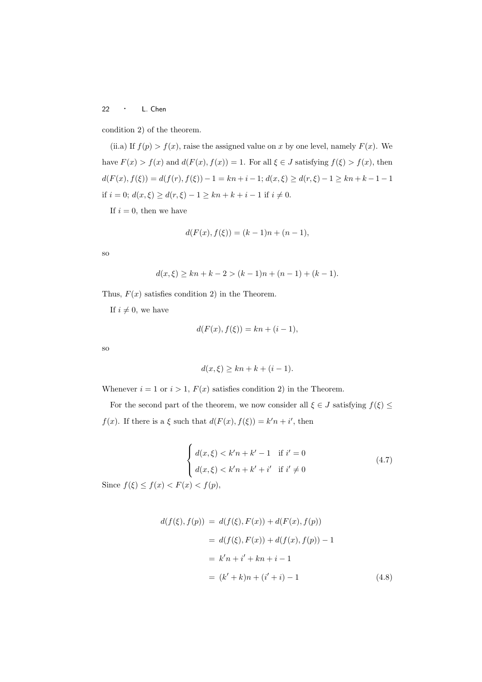condition 2) of the theorem.

(ii.a) If  $f(p) > f(x)$ , raise the assigned value on x by one level, namely  $F(x)$ . We have  $F(x) > f(x)$  and  $d(F(x), f(x)) = 1$ . For all  $\xi \in J$  satisfying  $f(\xi) > f(x)$ , then  $d(F(x), f(\xi)) = d(f(r), f(\xi)) - 1 = kn + i - 1; d(x, \xi) \ge d(r, \xi) - 1 \ge kn + k - 1 - 1$ if  $i = 0$ ;  $d(x, \xi) \geq d(r, \xi) - 1 \geq kn + k + i - 1$  if  $i \neq 0$ .

If  $i = 0$ , then we have

$$
d(F(x), f(\xi)) = (k-1)n + (n-1),
$$

so

$$
d(x,\xi) \ge kn + k - 2 > (k-1)n + (n-1) + (k-1).
$$

Thus,  $F(x)$  satisfies condition 2) in the Theorem.

If  $i \neq 0$ , we have

$$
d(F(x), f(\xi)) = kn + (i - 1),
$$

so

$$
d(x,\xi) \ge kn + k + (i - 1).
$$

Whenever  $i = 1$  or  $i > 1$ ,  $F(x)$  satisfies condition 2) in the Theorem.

For the second part of the theorem, we now consider all  $\xi \in J$  satisfying  $f(\xi) \leq$  $f(x)$ . If there is a  $\xi$  such that  $d(F(x), f(\xi)) = k'n + i'$ , then

$$
\begin{cases}\nd(x,\xi) < k'n + k' - 1 & \text{if } i' = 0 \\
d(x,\xi) < k'n + k' + i' & \text{if } i' \neq 0\n\end{cases}\n\tag{4.7}
$$
\n
$$
\xi) < f(x) < F(x) < f(p).
$$

Since  $f(\xi) \leq f(x) < F(x) < f(p)$ ,

$$
d(f(\xi), f(p)) = d(f(\xi), F(x)) + d(F(x), f(p))
$$
  
=  $d(f(\xi), F(x)) + d(f(x), f(p)) - 1$   
=  $k'n + i' + kn + i - 1$   
=  $(k' + k)n + (i' + i) - 1$  (4.8)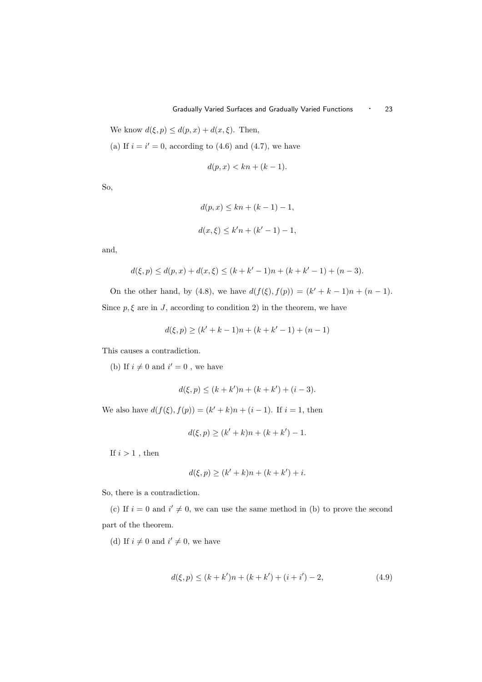We know  $d(\xi, p) \leq d(p, x) + d(x, \xi)$ . Then,

(a) If  $i = i' = 0$ , according to (4.6) and (4.7), we have

$$
d(p, x) < kn + (k - 1).
$$

So,

$$
d(p, x) \le kn + (k - 1) - 1,
$$
  

$$
d(x, \xi) \le k'n + (k' - 1) - 1,
$$

and,

$$
d(\xi, p) \le d(p, x) + d(x, \xi) \le (k + k' - 1)n + (k + k' - 1) + (n - 3).
$$

On the other hand, by (4.8), we have  $d(f(\xi), f(p)) = (k' + k - 1)n + (n - 1)$ . Since  $p, \xi$  are in J, according to condition 2) in the theorem, we have

$$
d(\xi, p) \ge (k' + k - 1)n + (k + k' - 1) + (n - 1)
$$

This causes a contradiction.

(b) If  $i \neq 0$  and  $i' = 0$ , we have

$$
d(\xi, p) \le (k + k')n + (k + k') + (i - 3).
$$

We also have  $d(f(\xi), f(p)) = (k' + k)n + (i - 1)$ . If  $i = 1$ , then

$$
d(\xi, p) \ge (k' + k)n + (k + k') - 1.
$$

If  $i>1$  , then

$$
d(\xi, p) \ge (k' + k)n + (k + k') + i.
$$

So, there is a contradiction.

(c) If  $i = 0$  and  $i' \neq 0$ , we can use the same method in (b) to prove the second part of the theorem.

(d) If  $i \neq 0$  and  $i' \neq 0$ , we have

$$
d(\xi, p) \le (k + k')n + (k + k') + (i + i') - 2,\tag{4.9}
$$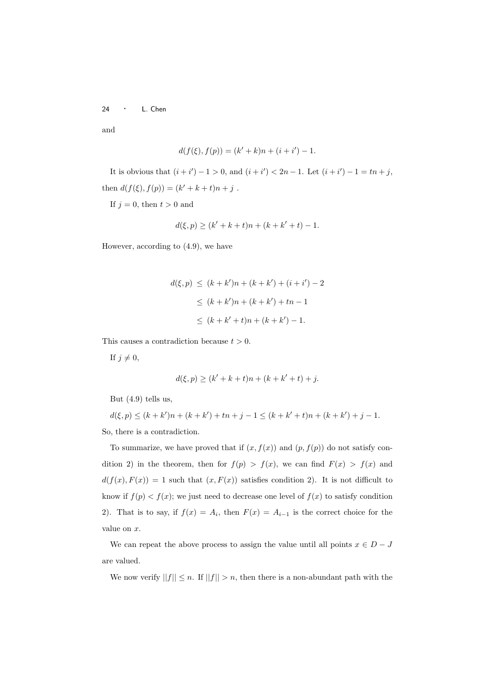and

$$
d(f(\xi), f(p)) = (k' + k)n + (i + i') - 1.
$$

It is obvious that  $(i + i') - 1 > 0$ , and  $(i + i') < 2n - 1$ . Let  $(i + i') - 1 = tn + j$ , then  $d(f(\xi), f(p)) = (k' + k + t)n + j$ .

If  $j = 0$ , then  $t > 0$  and

$$
d(\xi, p) \ge (k' + k + t)n + (k + k' + t) - 1.
$$

However, according to (4.9), we have

$$
d(\xi, p) \le (k + k')n + (k + k') + (i + i') - 2
$$
  
\n
$$
\le (k + k')n + (k + k') + tn - 1
$$
  
\n
$$
\le (k + k' + t)n + (k + k') - 1.
$$

This causes a contradiction because  $t > 0$ .

If  $j \neq 0$ ,

$$
d(\xi, p) \ge (k' + k + t)n + (k + k' + t) + j.
$$

But (4.9) tells us,

 $d(\xi, p) \le (k + k')n + (k + k') + tn + j - 1 \le (k + k' + t)n + (k + k') + j - 1.$ So, there is a contradiction.

To summarize, we have proved that if  $(x, f(x))$  and  $(p, f(p))$  do not satisfy condition 2) in the theorem, then for  $f(p) > f(x)$ , we can find  $F(x) > f(x)$  and  $d(f(x), F(x)) = 1$  such that  $(x, F(x))$  satisfies condition 2). It is not difficult to know if  $f(p) < f(x)$ ; we just need to decrease one level of  $f(x)$  to satisfy condition 2). That is to say, if  $f(x) = A_i$ , then  $F(x) = A_{i-1}$  is the correct choice for the value on x.

We can repeat the above process to assign the value until all points  $x \in D - J$ are valued.

We now verify  $||f|| \leq n$ . If  $||f|| > n$ , then there is a non-abundant path with the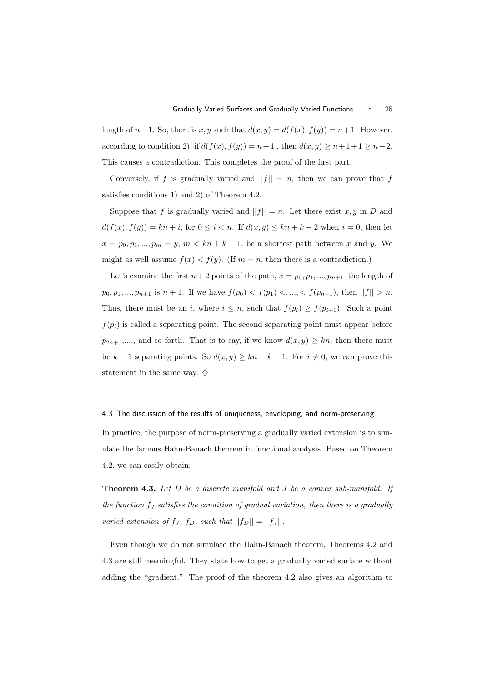length of  $n+1$ . So, there is x, y such that  $d(x, y) = d(f(x), f(y)) = n+1$ . However, according to condition 2), if  $d(f(x), f(y)) = n+1$ , then  $d(x, y) \ge n+1+1 \ge n+2$ . This causes a contradiction. This completes the proof of the first part.

Conversely, if f is gradually varied and  $||f|| = n$ , then we can prove that f satisfies conditions 1) and 2) of Theorem 4.2.

Suppose that f is gradually varied and  $||f|| = n$ . Let there exist x, y in D and  $d(f(x), f(y)) = kn + i$ , for  $0 \leq i < n$ . If  $d(x, y) \leq kn + k - 2$  when  $i = 0$ , then let  $x = p_0, p_1, ..., p_m = y, m < kn + k - 1$ , be a shortest path between x and y. We might as well assume  $f(x) < f(y)$ . (If  $m = n$ , then there is a contradiction.)

Let's examine the first  $n + 2$  points of the path,  $x = p_0, p_1, ..., p_{n+1}$ -the length of  $p_0, p_1, ..., p_{n+1}$  is  $n+1$ . If we have  $f(p_0) < f(p_1) <, ..., < f(p_{n+1})$ , then  $||f|| > n$ . Thus, there must be an i, where  $i \leq n$ , such that  $f(p_i) \geq f(p_{i+1})$ . Such a point  $f(p_i)$  is called a separating point. The second separating point must appear before  $p_{2n+1},...,$  and so forth. That is to say, if we know  $d(x, y) \geq kn$ , then there must be k − 1 separating points. So  $d(x, y) \ge kn + k - 1$ . For  $i \ne 0$ , we can prove this statement in the same way.  $\diamond$ 

4.3 The discussion of the results of uniqueness, enveloping, and norm-preserving

In practice, the purpose of norm-preserving a gradually varied extension is to simulate the famous Hahn-Banach theorem in functional analysis. Based on Theorem 4.2, we can easily obtain:

**Theorem 4.3.** Let  $D$  be a discrete manifold and  $J$  be a convex sub-manifold. If the function  $f_J$  satisfies the condition of gradual variation, then there is a gradually varied extension of  $f_J$ ,  $f_D$ , such that  $||f_D|| = ||f_J||$ .

Even though we do not simulate the Hahn-Banach theorem, Theorems 4.2 and 4.3 are still meaningful. They state how to get a gradually varied surface without adding the "gradient." The proof of the theorem 4.2 also gives an algorithm to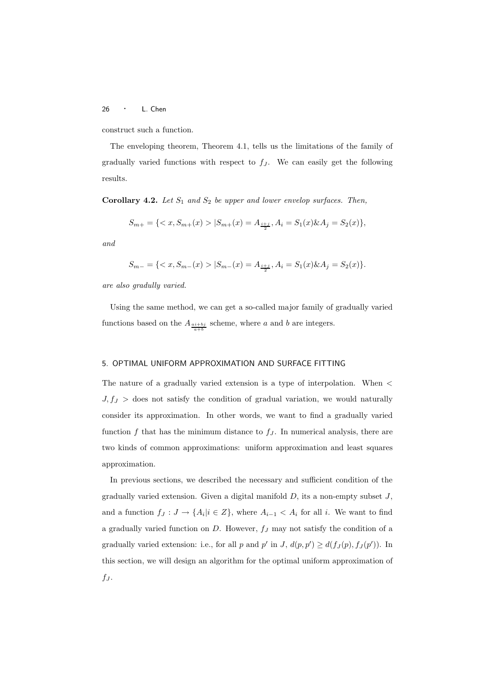construct such a function.

The enveloping theorem, Theorem 4.1, tells us the limitations of the family of gradually varied functions with respect to  $f_J$ . We can easily get the following results.

Corollary 4.2. Let  $S_1$  and  $S_2$  be upper and lower envelop surfaces. Then,

$$
S_{m+} = \{ \langle x, S_{m+}(x) \rangle | S_{m+}(x) = A_{\frac{i+j}{2}}, A_i = S_1(x) \& A_j = S_2(x) \},
$$

and

$$
S_{m-} = \{ \langle x, S_{m-}(x) \rangle | S_{m-}(x) = A_{\frac{i+j}{2}}, A_i = S_1(x) \& A_j = S_2(x) \}.
$$

are also gradully varied.

Using the same method, we can get a so-called major family of gradually varied functions based on the  $A_{\frac{a+i\cdot b_j}{a+b}}$  scheme, where a and b are integers.

## 5. OPTIMAL UNIFORM APPROXIMATION AND SURFACE FITTING

The nature of a gradually varied extension is a type of interpolation. When <  $J, f_J >$  does not satisfy the condition of gradual variation, we would naturally consider its approximation. In other words, we want to find a gradually varied function  $f$  that has the minimum distance to  $f_J$ . In numerical analysis, there are two kinds of common approximations: uniform approximation and least squares approximation.

In previous sections, we described the necessary and sufficient condition of the gradually varied extension. Given a digital manifold  $D$ , its a non-empty subset  $J$ , and a function  $f_J: J \to \{A_i | i \in Z\}$ , where  $A_{i-1} < A_i$  for all i. We want to find a gradually varied function on  $D$ . However,  $f_J$  may not satisfy the condition of a gradually varied extension: i.e., for all p and p' in J,  $d(p, p') \geq d(f_J(p), f_J(p'))$ . In this section, we will design an algorithm for the optimal uniform approximation of  $f_J$ .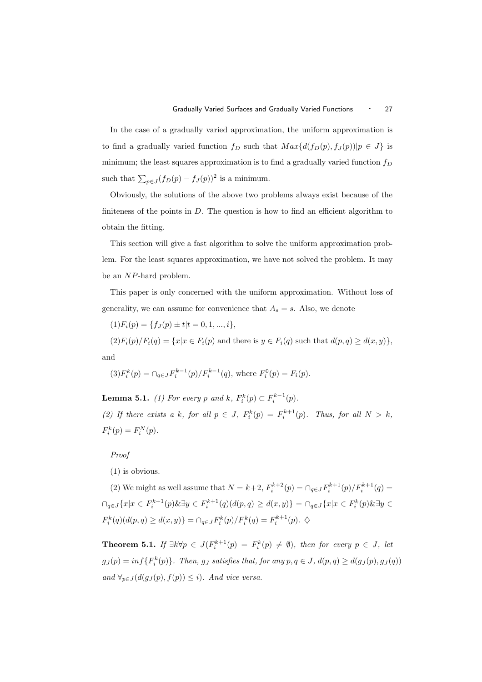In the case of a gradually varied approximation, the uniform approximation is to find a gradually varied function  $f_D$  such that  $Max{d(f_D(p), f_J(p))|p \in J}$  is minimum; the least squares approximation is to find a gradually varied function  $f_D$ such that  $\sum_{p\in J} (f_D(p) - f_J(p))^2$  is a minimum.

Obviously, the solutions of the above two problems always exist because of the finiteness of the points in  $D$ . The question is how to find an efficient algorithm to obtain the fitting.

This section will give a fast algorithm to solve the uniform approximation problem. For the least squares approximation, we have not solved the problem. It may be an NP-hard problem.

This paper is only concerned with the uniform approximation. Without loss of generality, we can assume for convenience that  $A_s = s$ . Also, we denote

 $(1)F_i(p) = \{f_J(p) \pm t | t = 0, 1, ..., i\},\$ 

 $(2)F_i(p)/F_i(q) = \{x|x \in F_i(p) \text{ and there is } y \in F_i(q) \text{ such that } d(p,q) \geq d(x,y)\},$ and

$$
(3)F_i^k(p) = \bigcap_{q \in J} F_i^{k-1}(p)/F_i^{k-1}(q), \text{ where } F_i^0(p) = F_i(p).
$$

**Lemma 5.1.** (1) For every p and k,  $F_i^k(p) \subset F_i^{k-1}(p)$ .

(2) If there exists a k, for all  $p \in J$ ,  $F_i^k(p) = F_i^{k+1}(p)$ . Thus, for all  $N > k$ ,  $F_i^k(p) = F_i^N(p).$ 

Proof

(1) is obvious.

(2) We might as well assume that  $N = k+2$ ,  $F_i^{k+2}(p) = \bigcap_{q \in J} F_i^{k+1}(p) / F_i^{k+1}(q) =$  $\bigcap_{q\in J}\{x|x\in F_i^{k+1}(p) \& \exists y\in F_i^{k+1}(q)(d(p,q))\geq d(x,y)\} = \bigcap_{q\in J}\{x|x\in F_i^k(p) \& \exists y\in F_i^{k+1}(p) \& \exists z\in F_i^{k+1}(p) \& \exists z\in F_i^{k+1}(p) \& \exists z\in F_i^{k+1}(p) \& \exists z\in F_i^{k+1}(p) \& \exists z\in F_i^{k+1}(p) \& \exists z\in F_i^{k+1}(p) \& \exists z\in F_i^{k+1}(p) \& \exists z\in F_i^{k+1}(p) \& \$  $F_i^k(q)(d(p, q) \ge d(x, y)) = \bigcap_{q \in J} F_i^k(p) / F_i^k(q) = F_i^{k+1}(p). \diamondsuit$ 

**Theorem 5.1.** If  $\exists k \forall p \in J(F_i^{k+1}(p) = F_i^k(p) \neq \emptyset)$ , then for every  $p \in J$ , let  $g_J(p) = inf\{F_i^k(p)\}\$ . Then,  $g_J$  satisfies that, for any  $p, q \in J$ ,  $d(p, q) \geq d(g_J(p), g_J(q))$ and  $\forall_{p \in J} (d(g_J(p), f(p)) \leq i)$ . And vice versa.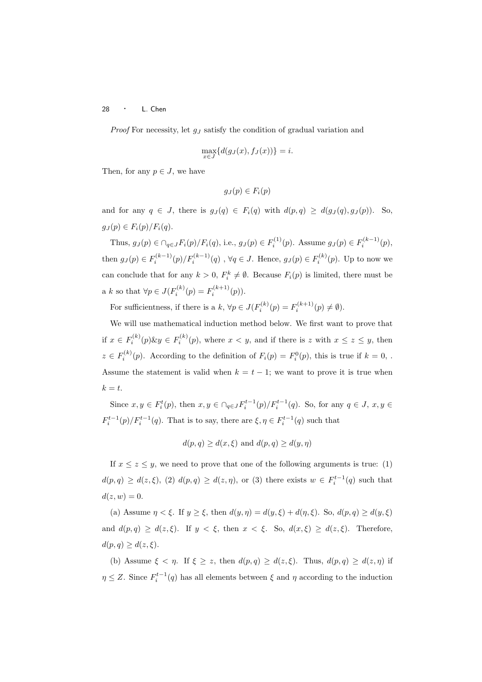*Proof* For necessity, let  $q_J$  satisfy the condition of gradual variation and

$$
\max_{x \in J} \{d(g_J(x), f_J(x))\} = i.
$$

Then, for any  $p \in J$ , we have

$$
g_J(p) \in F_i(p)
$$

and for any  $q \in J$ , there is  $q_J(q) \in F_i(q)$  with  $d(p,q) \geq d(q_J(q), q_J(p))$ . So,  $q_J(p) \in F_i(p)/F_i(q)$ .

Thus,  $g_J(p) \in \bigcap_{q \in J} F_i(p)/F_i(q)$ , i.e.,  $g_J(p) \in F_i^{(1)}(p)$ . Assume  $g_J(p) \in F_i^{(k-1)}(p)$ , then  $g_J(p) \in F_i^{(k-1)}(p)/F_i^{(k-1)}(q)$ ,  $\forall q \in J$ . Hence,  $g_J(p) \in F_i^{(k)}(p)$ . Up to now we can conclude that for any  $k > 0$ ,  $F_i^k \neq \emptyset$ . Because  $F_i(p)$  is limited, there must be a k so that  $\forall p \in J(F_i^{(k)}(p) = F_i^{(k+1)}(p)).$ 

For sufficientness, if there is a  $k, \forall p \in J(F_i^{(k)}(p) = F_i^{(k+1)}(p) \neq \emptyset)$ .

We will use mathematical induction method below. We first want to prove that if  $x \in F_i^{(k)}(p) \& y \in F_i^{(k)}(p)$ , where  $x < y$ , and if there is z with  $x \le z \le y$ , then  $z \in F_i^{(k)}(p)$ . According to the definition of  $F_i(p) = F_i^0(p)$ , this is true if  $k = 0$ ,. Assume the statement is valid when  $k = t - 1$ ; we want to prove it is true when  $k = t$ .

Since  $x, y \in F_i^t(p)$ , then  $x, y \in \bigcap_{q \in J} F_i^{t-1}(p)/F_i^{t-1}(q)$ . So, for any  $q \in J$ ,  $x, y \in J$  $F_i^{t-1}(p)/F_i^{t-1}(q)$ . That is to say, there are  $\xi, \eta \in F_i^{t-1}(q)$  such that

$$
d(p,q) \ge d(x,\xi)
$$
 and  $d(p,q) \ge d(y,\eta)$ 

If  $x \leq z \leq y$ , we need to prove that one of the following arguments is true: (1)  $d(p,q) \geq d(z,\xi)$ , (2)  $d(p,q) \geq d(z,\eta)$ , or (3) there exists  $w \in F_i^{t-1}(q)$  such that  $d(z, w) = 0.$ 

(a) Assume  $\eta < \xi$ . If  $y \ge \xi$ , then  $d(y, \eta) = d(y, \xi) + d(\eta, \xi)$ . So,  $d(p, q) \ge d(y, \xi)$ and  $d(p,q) \geq d(z,\xi)$ . If  $y < \xi$ , then  $x < \xi$ . So,  $d(x,\xi) \geq d(z,\xi)$ . Therefore,  $d(p, q) \geq d(z, \xi).$ 

(b) Assume  $\xi < \eta$ . If  $\xi \ge z$ , then  $d(p,q) \ge d(z,\xi)$ . Thus,  $d(p,q) \ge d(z,\eta)$  if  $\eta \leq Z$ . Since  $F_i^{t-1}(q)$  has all elements between  $\xi$  and  $\eta$  according to the induction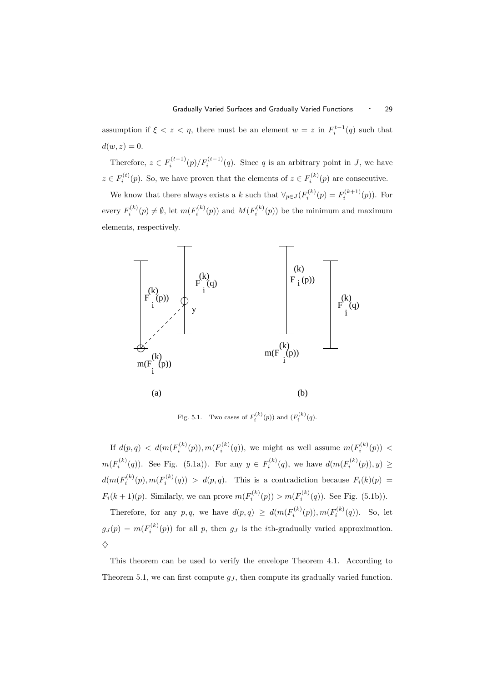assumption if  $\xi < z < \eta$ , there must be an element  $w = z$  in  $F_i^{t-1}(q)$  such that  $d(w, z) = 0.$ 

Therefore,  $z \in F_i^{(t-1)}(p)/F_i^{(t-1)}(q)$ . Since q is an arbitrary point in J, we have  $z \in F_i^{(t)}(p)$ . So, we have proven that the elements of  $z \in F_i^{(k)}(p)$  are consecutive.

We know that there always exists a k such that  $\forall_{p \in J} (F_i^{(k)}(p) = F_i^{(k+1)}(p))$ . For every  $F_i^{(k)}(p) \neq \emptyset$ , let  $m(F_i^{(k)}(p))$  and  $M(F_i^{(k)}(p))$  be the minimum and maximum elements, respectively.



Fig. 5.1. Two cases of  $F_i^{(k)}(p)$  and  $(F_i^{(k)}(q)$ .

If  $d(p,q) < d(m(F_i^{(k)}(p)), m(F_i^{(k)}(q))$ , we might as well assume  $m(F_i^{(k)}(p))$  <  $m(F_i^{(k)}(q))$ . See Fig. (5.1a)). For any  $y \in F_i^{(k)}(q)$ , we have  $d(m(F_i^{(k)}(p)), y) \ge$  $d(m(F_i^{(k)}(p), m(F_i^{(k)}(q))) > d(p,q)$ . This is a contradiction because  $F_i(k)(p) =$  $F_i(k+1)(p)$ . Similarly, we can prove  $m(F_i^{(k)}(p)) > m(F_i^{(k)}(q))$ . See Fig. (5.1b)).

Therefore, for any p,q, we have  $d(p,q) \geq d(m(F_i^{(k)}(p)), m(F_i^{(k)}(q))$ . So, let  $g_J(p) = m(F_i^{(k)}(p))$  for all p, then  $g_J$  is the *i*th-gradually varied approximation.  $\Diamond$ 

This theorem can be used to verify the envelope Theorem 4.1. According to Theorem 5.1, we can first compute  $g_J$ , then compute its gradually varied function.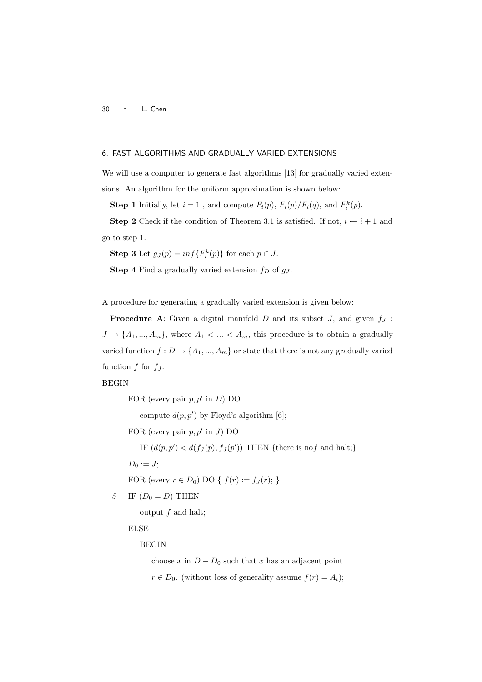# 6. FAST ALGORITHMS AND GRADUALLY VARIED EXTENSIONS

We will use a computer to generate fast algorithms [13] for gradually varied extensions. An algorithm for the uniform approximation is shown below:

**Step 1** Initially, let  $i = 1$ , and compute  $F_i(p)$ ,  $F_i(p)/F_i(q)$ , and  $F_i^k(p)$ .

**Step 2** Check if the condition of Theorem 3.1 is satisfied. If not,  $i \leftarrow i + 1$  and go to step 1.

**Step 3** Let  $g_J(p) = inf\{F_i^k(p)\}\$ for each  $p \in J$ .

**Step 4** Find a gradually varied extension  $f_D$  of  $g_J$ .

A procedure for generating a gradually varied extension is given below:

**Procedure A:** Given a digital manifold  $D$  and its subset  $J$ , and given  $f_J$ :  $J \to \{A_1, ..., A_m\}$ , where  $A_1 < ... < A_m$ , this procedure is to obtain a gradually varied function  $f: D \to \{A_1, ..., A_m\}$  or state that there is not any gradually varied function  $f$  for  $f_J$ .

# BEGIN

FOR (every pair  $p, p'$  in  $D$ ) DO

compute  $d(p, p')$  by Floyd's algorithm [6];

FOR (every pair  $p, p'$  in J) DO

IF  $(d(p, p') < d(f_J(p), f_J(p'))$  THEN {there is nof and halt;}

 $D_0 := J;$ 

FOR (every  $r \in D_0$ ) DO {  $f(r) := f_J(r);$  }

5 IF  $(D_0 = D)$  THEN

output  $f$  and halt;

ELSE

# BEGIN

choose x in  $D - D_0$  such that x has an adjacent point  $r \in D_0$ . (without loss of generality assume  $f(r) = A_i$ );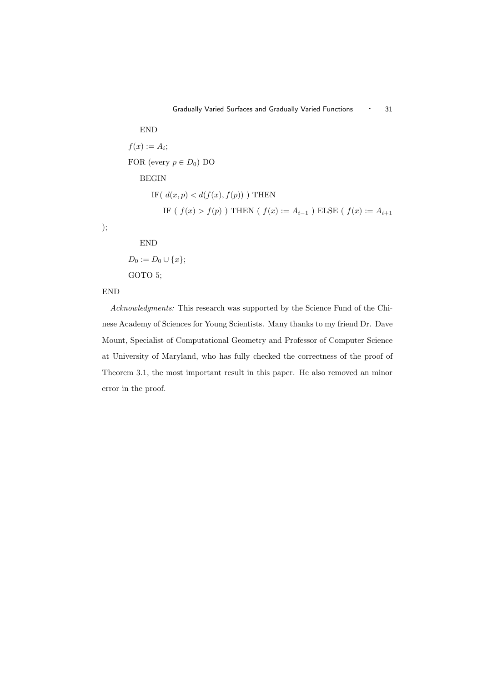END  
\n
$$
f(x) := A_i;
$$
  
\nFOR (every  $p \in D_0$ ) DO  
\nBEGIN  
\nIF( $d(x, p) < d(f(x), f(p))$ ) THEN  
\nIF ( $f(x) > f(p)$ ) THEN ( $f(x) := A_{i-1}$ ) ELSE ( $f(x) := A_{i+1}$ )

);

 $D_0 := D_0 \cup \{x\};$ GOTO 5;

END

# END

Acknowledgments: This research was supported by the Science Fund of the Chinese Academy of Sciences for Young Scientists. Many thanks to my friend Dr. Dave Mount, Specialist of Computational Geometry and Professor of Computer Science at University of Maryland, who has fully checked the correctness of the proof of Theorem 3.1, the most important result in this paper. He also removed an minor error in the proof.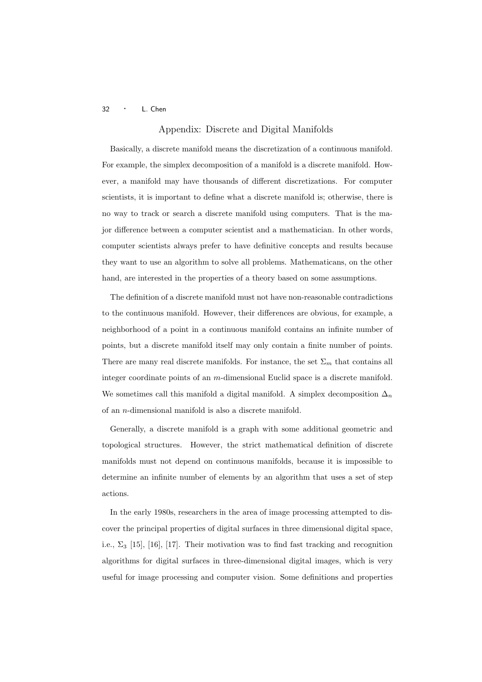# Appendix: Discrete and Digital Manifolds

Basically, a discrete manifold means the discretization of a continuous manifold. For example, the simplex decomposition of a manifold is a discrete manifold. However, a manifold may have thousands of different discretizations. For computer scientists, it is important to define what a discrete manifold is; otherwise, there is no way to track or search a discrete manifold using computers. That is the major difference between a computer scientist and a mathematician. In other words, computer scientists always prefer to have definitive concepts and results because they want to use an algorithm to solve all problems. Mathematicans, on the other hand, are interested in the properties of a theory based on some assumptions.

The definition of a discrete manifold must not have non-reasonable contradictions to the continuous manifold. However, their differences are obvious, for example, a neighborhood of a point in a continuous manifold contains an infinite number of points, but a discrete manifold itself may only contain a finite number of points. There are many real discrete manifolds. For instance, the set  $\Sigma_m$  that contains all integer coordinate points of an m-dimensional Euclid space is a discrete manifold. We sometimes call this manifold a digital manifold. A simplex decomposition  $\Delta_n$ of an n-dimensional manifold is also a discrete manifold.

Generally, a discrete manifold is a graph with some additional geometric and topological structures. However, the strict mathematical definition of discrete manifolds must not depend on continuous manifolds, because it is impossible to determine an infinite number of elements by an algorithm that uses a set of step actions.

In the early 1980s, researchers in the area of image processing attempted to discover the principal properties of digital surfaces in three dimensional digital space, i.e.,  $\Sigma_3$  [15], [16], [17]. Their motivation was to find fast tracking and recognition algorithms for digital surfaces in three-dimensional digital images, which is very useful for image processing and computer vision. Some definitions and properties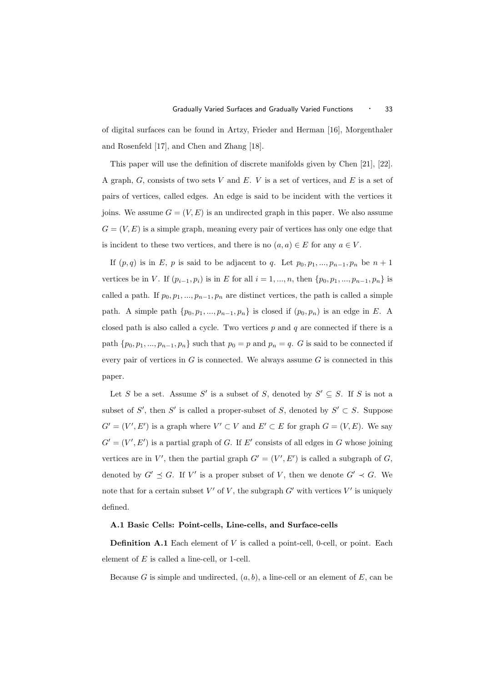of digital surfaces can be found in Artzy, Frieder and Herman [16], Morgenthaler and Rosenfeld [17], and Chen and Zhang [18].

This paper will use the definition of discrete manifolds given by Chen [21], [22]. A graph,  $G$ , consists of two sets  $V$  and  $E$ .  $V$  is a set of vertices, and  $E$  is a set of pairs of vertices, called edges. An edge is said to be incident with the vertices it joins. We assume  $G = (V, E)$  is an undirected graph in this paper. We also assume  $G = (V, E)$  is a simple graph, meaning every pair of vertices has only one edge that is incident to these two vertices, and there is no  $(a, a) \in E$  for any  $a \in V$ .

If  $(p, q)$  is in E, p is said to be adjacent to q. Let  $p_0, p_1, ..., p_{n-1}, p_n$  be  $n + 1$ vertices be in V. If  $(p_{i-1}, p_i)$  is in E for all  $i = 1, ..., n$ , then  $\{p_0, p_1, ..., p_{n-1}, p_n\}$  is called a path. If  $p_0, p_1, ..., p_{n-1}, p_n$  are distinct vertices, the path is called a simple path. A simple path  $\{p_0, p_1, ..., p_{n-1}, p_n\}$  is closed if  $(p_0, p_n)$  is an edge in E. A closed path is also called a cycle. Two vertices  $p$  and  $q$  are connected if there is a path  $\{p_0, p_1, ..., p_{n-1}, p_n\}$  such that  $p_0 = p$  and  $p_n = q$ . G is said to be connected if every pair of vertices in  $G$  is connected. We always assume  $G$  is connected in this paper.

Let S be a set. Assume S' is a subset of S, denoted by  $S' \subseteq S$ . If S is not a subset of S', then S' is called a proper-subset of S, denoted by  $S' \subset S$ . Suppose  $G' = (V', E')$  is a graph where  $V' \subset V$  and  $E' \subset E$  for graph  $G = (V, E)$ . We say  $G' = (V', E')$  is a partial graph of G. If E' consists of all edges in G whose joining vertices are in V', then the partial graph  $G' = (V', E')$  is called a subgraph of G, denoted by  $G' \preceq G$ . If V' is a proper subset of V, then we denote  $G' \prec G$ . We note that for a certain subset  $V'$  of  $V$ , the subgraph  $G'$  with vertices  $V'$  is uniquely defined.

#### A.1 Basic Cells: Point-cells, Line-cells, and Surface-cells

Definition A.1 Each element of V is called a point-cell, 0-cell, or point. Each element of E is called a line-cell, or 1-cell.

Because G is simple and undirected,  $(a, b)$ , a line-cell or an element of E, can be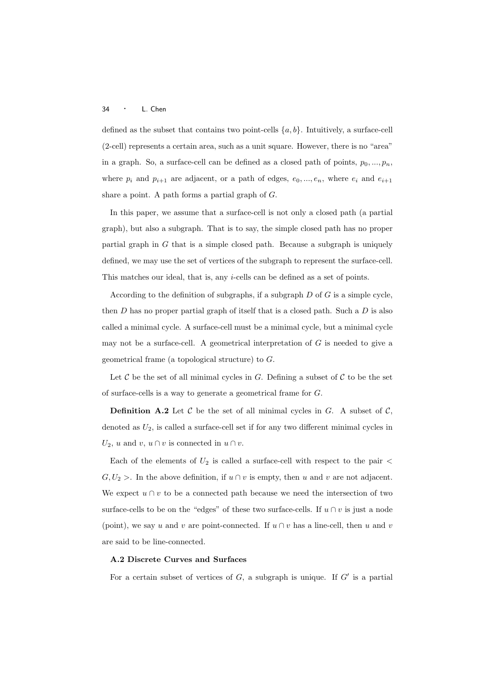defined as the subset that contains two point-cells  $\{a, b\}$ . Intuitively, a surface-cell (2-cell) represents a certain area, such as a unit square. However, there is no "area" in a graph. So, a surface-cell can be defined as a closed path of points,  $p_0, ..., p_n$ , where  $p_i$  and  $p_{i+1}$  are adjacent, or a path of edges,  $e_0, ..., e_n$ , where  $e_i$  and  $e_{i+1}$ share a point. A path forms a partial graph of G.

In this paper, we assume that a surface-cell is not only a closed path (a partial graph), but also a subgraph. That is to say, the simple closed path has no proper partial graph in  $G$  that is a simple closed path. Because a subgraph is uniquely defined, we may use the set of vertices of the subgraph to represent the surface-cell. This matches our ideal, that is, any *i*-cells can be defined as a set of points.

According to the definition of subgraphs, if a subgraph  $D$  of  $G$  is a simple cycle, then  $D$  has no proper partial graph of itself that is a closed path. Such a  $D$  is also called a minimal cycle. A surface-cell must be a minimal cycle, but a minimal cycle may not be a surface-cell. A geometrical interpretation of  $G$  is needed to give a geometrical frame (a topological structure) to G.

Let  $\mathcal C$  be the set of all minimal cycles in  $G$ . Defining a subset of  $\mathcal C$  to be the set of surface-cells is a way to generate a geometrical frame for G.

**Definition A.2** Let C be the set of all minimal cycles in G. A subset of C, denoted as  $U_2$ , is called a surface-cell set if for any two different minimal cycles in  $U_2$ , u and v,  $u \cap v$  is connected in  $u \cap v$ .

Each of the elements of  $U_2$  is called a surface-cell with respect to the pair  $\lt$  $G, U_2 >$ . In the above definition, if  $u \cap v$  is empty, then u and v are not adjacent. We expect  $u \cap v$  to be a connected path because we need the intersection of two surface-cells to be on the "edges" of these two surface-cells. If  $u \cap v$  is just a node (point), we say u and v are point-connected. If  $u \cap v$  has a line-cell, then u and v are said to be line-connected.

#### A.2 Discrete Curves and Surfaces

For a certain subset of vertices of  $G$ , a subgraph is unique. If  $G'$  is a partial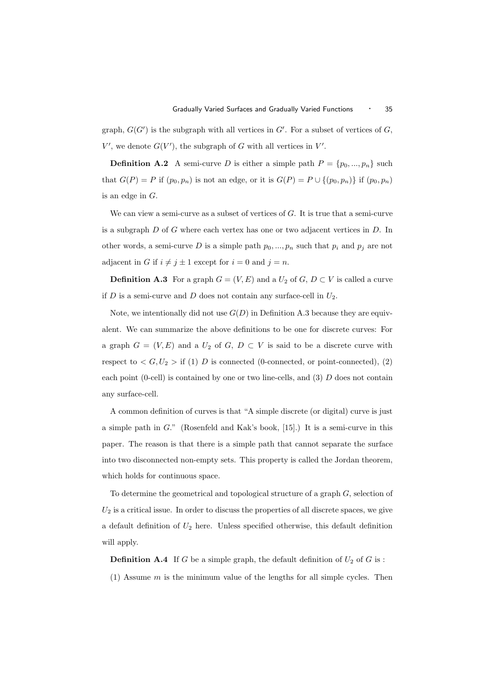graph,  $G(G')$  is the subgraph with all vertices in  $G'$ . For a subset of vertices of  $G$ ,  $V'$ , we denote  $G(V')$ , the subgraph of G with all vertices in  $V'$ .

**Definition A.2** A semi-curve D is either a simple path  $P = \{p_0, ..., p_n\}$  such that  $G(P) = P$  if  $(p_0, p_n)$  is not an edge, or it is  $G(P) = P \cup \{(p_0, p_n)\}\$ if  $(p_0, p_n)$ is an edge in G.

We can view a semi-curve as a subset of vertices of G. It is true that a semi-curve is a subgraph  $D$  of  $G$  where each vertex has one or two adjacent vertices in  $D$ . In other words, a semi-curve D is a simple path  $p_0, ..., p_n$  such that  $p_i$  and  $p_j$  are not adjacent in G if  $i \neq j \pm 1$  except for  $i = 0$  and  $j = n$ .

**Definition A.3** For a graph  $G = (V, E)$  and a  $U_2$  of  $G, D \subset V$  is called a curve if  $D$  is a semi-curve and  $D$  does not contain any surface-cell in  $U_2$ .

Note, we intentionally did not use  $G(D)$  in Definition A.3 because they are equivalent. We can summarize the above definitions to be one for discrete curves: For a graph  $G = (V, E)$  and a  $U_2$  of  $G, D \subset V$  is said to be a discrete curve with respect to  $\langle G, U_2 \rangle$  if (1) D is connected (0-connected, or point-connected), (2) each point (0-cell) is contained by one or two line-cells, and (3) D does not contain any surface-cell.

A common definition of curves is that "A simple discrete (or digital) curve is just a simple path in G." (Rosenfeld and Kak's book, [15].) It is a semi-curve in this paper. The reason is that there is a simple path that cannot separate the surface into two disconnected non-empty sets. This property is called the Jordan theorem, which holds for continuous space.

To determine the geometrical and topological structure of a graph G, selection of  $U_2$  is a critical issue. In order to discuss the properties of all discrete spaces, we give a default definition of  $U_2$  here. Unless specified otherwise, this default definition will apply.

**Definition A.4** If G be a simple graph, the default definition of  $U_2$  of G is :

(1) Assume  $m$  is the minimum value of the lengths for all simple cycles. Then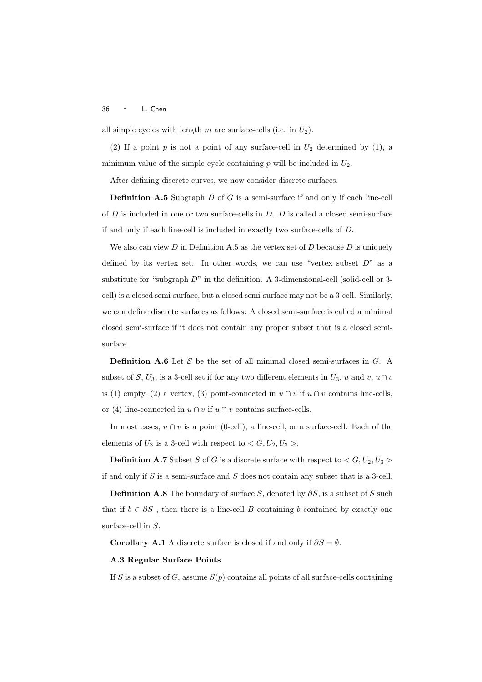all simple cycles with length m are surface-cells (i.e. in  $U_2$ ).

(2) If a point  $p$  is not a point of any surface-cell in  $U_2$  determined by (1), a minimum value of the simple cycle containing  $p$  will be included in  $U_2$ .

After defining discrete curves, we now consider discrete surfaces.

**Definition A.5** Subgraph  $D$  of  $G$  is a semi-surface if and only if each line-cell of  $D$  is included in one or two surface-cells in  $D$ .  $D$  is called a closed semi-surface if and only if each line-cell is included in exactly two surface-cells of D.

We also can view  $D$  in Definition A.5 as the vertex set of  $D$  because  $D$  is uniquely defined by its vertex set. In other words, we can use "vertex subset  $D$ " as a substitute for "subgraph  $D$ " in the definition. A 3-dimensional-cell (solid-cell or 3cell) is a closed semi-surface, but a closed semi-surface may not be a 3-cell. Similarly, we can define discrete surfaces as follows: A closed semi-surface is called a minimal closed semi-surface if it does not contain any proper subset that is a closed semisurface.

**Definition A.6** Let S be the set of all minimal closed semi-surfaces in  $G$ . A subset of S,  $U_3$ , is a 3-cell set if for any two different elements in  $U_3$ , u and v,  $u \cap v$ is (1) empty, (2) a vertex, (3) point-connected in  $u \cap v$  if  $u \cap v$  contains line-cells, or (4) line-connected in  $u \cap v$  if  $u \cap v$  contains surface-cells.

In most cases,  $u \cap v$  is a point (0-cell), a line-cell, or a surface-cell. Each of the elements of  $U_3$  is a 3-cell with respect to  $\langle G, U_2, U_3 \rangle$ .

**Definition A.7** Subset S of G is a discrete surface with respect to  $\langle G, U_2, U_3 \rangle$ if and only if  $S$  is a semi-surface and  $S$  does not contain any subset that is a 3-cell.

**Definition A.8** The boundary of surface S, denoted by  $\partial S$ , is a subset of S such that if  $b \in \partial S$ , then there is a line-cell B containing b contained by exactly one surface-cell in S.

Corollary A.1 A discrete surface is closed if and only if  $\partial S = \emptyset$ .

#### A.3 Regular Surface Points

If S is a subset of G, assume  $S(p)$  contains all points of all surface-cells containing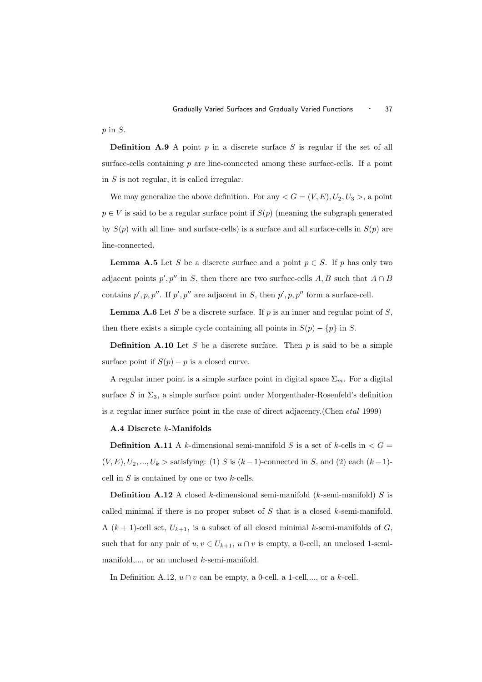$p \text{ in } S$ .

**Definition A.9** A point p in a discrete surface S is regular if the set of all surface-cells containing  $p$  are line-connected among these surface-cells. If a point in S is not regular, it is called irregular.

We may generalize the above definition. For any  $\langle G = (V, E), U_2, U_3 \rangle$ , a point  $p \in V$  is said to be a regular surface point if  $S(p)$  (meaning the subgraph generated by  $S(p)$  with all line- and surface-cells) is a surface and all surface-cells in  $S(p)$  are line-connected.

**Lemma A.5** Let S be a discrete surface and a point  $p \in S$ . If p has only two adjacent points  $p', p''$  in S, then there are two surface-cells A, B such that  $A \cap B$ contains  $p', p, p''.$  If  $p', p''$  are adjacent in S, then  $p', p, p''$  form a surface-cell.

**Lemma A.6** Let S be a discrete surface. If  $p$  is an inner and regular point of  $S$ , then there exists a simple cycle containing all points in  $S(p) - \{p\}$  in S.

**Definition A.10** Let S be a discrete surface. Then  $p$  is said to be a simple surface point if  $S(p) - p$  is a closed curve.

A regular inner point is a simple surface point in digital space  $\Sigma_m$ . For a digital surface S in  $\Sigma_3$ , a simple surface point under Morgenthaler-Rosenfeld's definition is a regular inner surface point in the case of direct adjacency.(Chen etal 1999)

## A.4 Discrete k-Manifolds

**Definition A.11** A k-dimensional semi-manifold S is a set of k-cells in  $\lt G$  =  $(V, E), U_2, ..., U_k$  > satisfying: (1) S is  $(k-1)$ -connected in S, and (2) each  $(k-1)$ cell in  $S$  is contained by one or two  $k$ -cells.

**Definition A.12** A closed k-dimensional semi-manifold (k-semi-manifold) S is called minimal if there is no proper subset of  $S$  that is a closed  $k$ -semi-manifold. A  $(k + 1)$ -cell set,  $U_{k+1}$ , is a subset of all closed minimal k-semi-manifolds of G, such that for any pair of  $u, v \in U_{k+1}$ ,  $u \cap v$  is empty, a 0-cell, an unclosed 1-semimanifold,..., or an unclosed k-semi-manifold.

In Definition A.12,  $u \cap v$  can be empty, a 0-cell, a 1-cell,..., or a k-cell.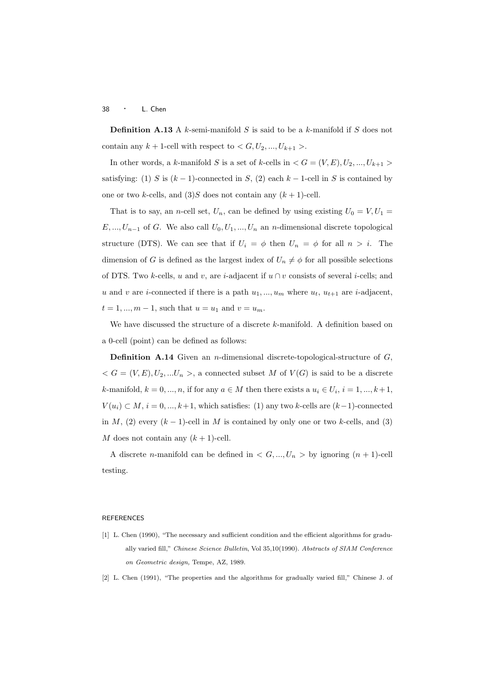**Definition A.13** A k-semi-manifold S is said to be a k-manifold if S does not contain any  $k+1$ -cell with respect to  $\lt G, U_2, ..., U_{k+1}$ .

In other words, a k-manifold S is a set of k-cells in  $\lt G = (V, E), U_2, ..., U_{k+1}$ satisfying: (1) S is  $(k-1)$ -connected in S, (2) each k – 1-cell in S is contained by one or two k-cells, and  $(3)$ S does not contain any  $(k + 1)$ -cell.

That is to say, an n-cell set,  $U_n$ , can be defined by using existing  $U_0 = V, U_1 =$  $E, ..., U_{n-1}$  of G. We also call  $U_0, U_1, ..., U_n$  an n-dimensional discrete topological structure (DTS). We can see that if  $U_i = \phi$  then  $U_n = \phi$  for all  $n > i$ . The dimension of G is defined as the largest index of  $U_n \neq \phi$  for all possible selections of DTS. Two k-cells, u and v, are i-adjacent if  $u \cap v$  consists of several i-cells; and u and v are i-connected if there is a path  $u_1, ..., u_m$  where  $u_t, u_{t+1}$  are i-adjacent,  $t = 1, ..., m - 1$ , such that  $u = u_1$  and  $v = u_m$ .

We have discussed the structure of a discrete k-manifold. A definition based on a 0-cell (point) can be defined as follows:

**Definition A.14** Given an *n*-dimensional discrete-topological-structure of  $G$ ,  $\langle G = (V, E), U_2, ... U_n \rangle$ , a connected subset M of  $V(G)$  is said to be a discrete k-manifold,  $k = 0, ..., n$ , if for any  $a \in M$  then there exists a  $u_i \in U_i$ ,  $i = 1, ..., k+1$ ,  $V(u_i) \subset M$ ,  $i = 0, ..., k+1$ , which satisfies: (1) any two k-cells are  $(k-1)$ -connected in M, (2) every  $(k-1)$ -cell in M is contained by only one or two k-cells, and (3) M does not contain any  $(k + 1)$ -cell.

A discrete *n*-manifold can be defined in  $\langle G, ..., U_n \rangle$  by ignoring  $(n + 1)$ -cell testing.

## REFERENCES

- [1] L. Chen (1990), "The necessary and sufficient condition and the efficient algorithms for gradually varied fill," Chinese Science Bulletin, Vol 35,10(1990). Abstracts of SIAM Conference on Geometric design, Tempe, AZ, 1989.
- [2] L. Chen (1991), "The properties and the algorithms for gradually varied fill," Chinese J. of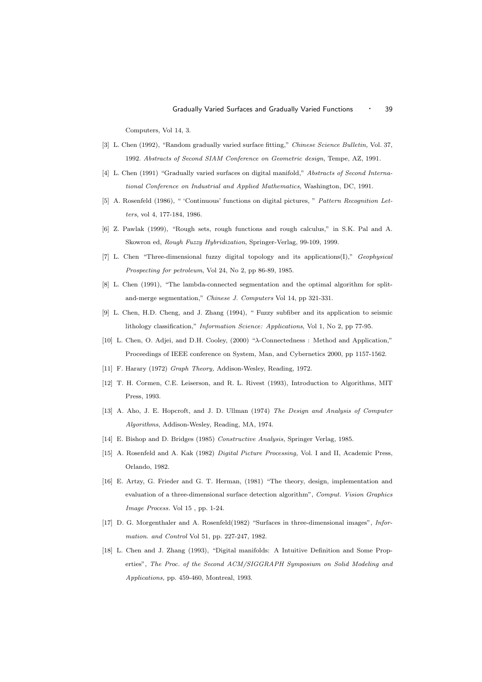Computers, Vol 14, 3.

- [3] L. Chen (1992), "Random gradually varied surface fitting," Chinese Science Bulletin, Vol. 37, 1992. Abstracts of Second SIAM Conference on Geometric design, Tempe, AZ, 1991.
- [4] L. Chen (1991) "Gradually varied surfaces on digital manifold," Abstracts of Second International Conference on Industrial and Applied Mathematics, Washington, DC, 1991.
- [5] A. Rosenfeld (1986), " 'Continuous' functions on digital pictures, " Pattern Recognition Letters, vol 4, 177-184, 1986.
- [6] Z. Pawlak (1999), "Rough sets, rough functions and rough calculus," in S.K. Pal and A. Skowron ed, Rough Fuzzy Hybridization, Springer-Verlag, 99-109, 1999.
- [7] L. Chen "Three-dimensional fuzzy digital topology and its applications(I)," Geophysical Prospecting for petroleum, Vol 24, No 2, pp 86-89, 1985.
- [8] L. Chen (1991), "The lambda-connected segmentation and the optimal algorithm for splitand-merge segmentation," Chinese J. Computers Vol 14, pp 321-331.
- [9] L. Chen, H.D. Cheng, and J. Zhang (1994), " Fuzzy subfiber and its application to seismic lithology classification," Information Science: Applications, Vol 1, No 2, pp 77-95.
- [10] L. Chen, O. Adjei, and D.H. Cooley, (2000) "λ-Connectedness : Method and Application," Proceedings of IEEE conference on System, Man, and Cybernetics 2000, pp 1157-1562.
- [11] F. Harary (1972) Graph Theory, Addison-Wesley, Reading, 1972.
- [12] T. H. Cormen, C.E. Leiserson, and R. L. Rivest (1993), Introduction to Algorithms, MIT Press, 1993.
- [13] A. Aho, J. E. Hopcroft, and J. D. Ullman (1974) The Design and Analysis of Computer Algorithms, Addison-Wesley, Reading, MA, 1974.
- [14] E. Bishop and D. Bridges (1985) Constructive Analysis, Springer Verlag, 1985.
- [15] A. Rosenfeld and A. Kak (1982) Digital Picture Processing, Vol. I and II, Academic Press, Orlando, 1982.
- [16] E. Artzy, G. Frieder and G. T. Herman, (1981) "The theory, design, implementation and evaluation of a three-dimensional surface detection algorithm", Comput. Vision Graphics Image Process. Vol 15 , pp. 1-24.
- [17] D. G. Morgenthaler and A. Rosenfeld(1982) "Surfaces in three-dimensional images", Information. and Control Vol 51, pp. 227-247, 1982.
- [18] L. Chen and J. Zhang (1993), "Digital manifolds: A Intuitive Definition and Some Properties", The Proc. of the Second ACM/SIGGRAPH Symposium on Solid Modeling and Applications, pp. 459-460, Montreal, 1993.